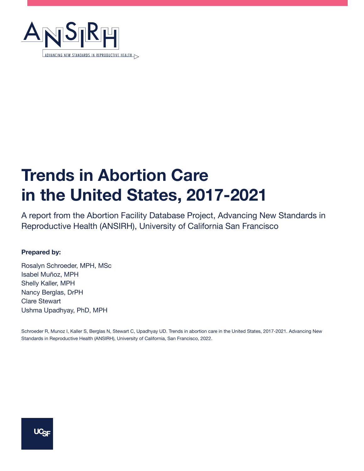

# **Trends in Abortion Care in the United States, 2017-2021**

A report from the Abortion Facility Database Project, Advancing New Standards in Reproductive Health (ANSIRH), University of California San Francisco

#### **Prepared by:**

Rosalyn Schroeder, MPH, MSc Isabel Muñoz, MPH Shelly Kaller, MPH Nancy Berglas, DrPH Clare Stewart Ushma Upadhyay, PhD, MPH

Schroeder R, Munoz I, Kaller S, Berglas N, Stewart C, Upadhyay UD. Trends in abortion care in the United States, 2017-2021. Advancing New Standards in Reproductive Health (ANSIRH), University of California, San Francisco, 2022.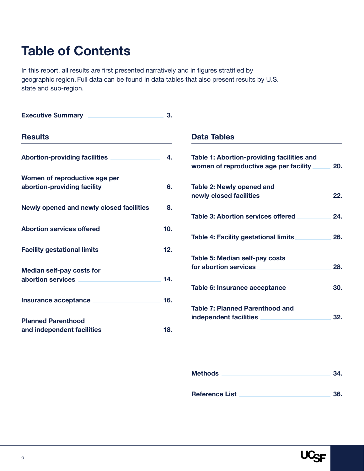## **Table of Contents**

In this report, all results are first presented narratively and in figures stratified by geographic region. Full data can be found in data tables that also present results by U.S. state and sub-region.

| <b>Executive Summary</b>                        | 3.  |                                                                                      |     |
|-------------------------------------------------|-----|--------------------------------------------------------------------------------------|-----|
| <b>Results</b>                                  |     | <b>Data Tables</b>                                                                   |     |
| <b>Abortion-providing facilities</b>            | 4.  | Table 1: Abortion-providing facilities and<br>women of reproductive age per facility | 20. |
| Women of reproductive age per                   |     |                                                                                      |     |
| abortion-providing facility                     | 6.  | Table 2: Newly opened and<br>newly closed facilities                                 | 22. |
| <b>Newly opened and newly closed facilities</b> | 8.  |                                                                                      |     |
|                                                 |     | <b>Table 3: Abortion services offered</b>                                            | 24. |
| <b>Abortion services offered</b>                | 10. |                                                                                      |     |
|                                                 |     | <b>Table 4: Facility gestational limits</b>                                          | 26. |
| <b>Facility gestational limits</b>              | 12. |                                                                                      |     |
|                                                 |     | Table 5: Median self-pay costs                                                       |     |
| <b>Median self-pay costs for</b>                |     | for abortion services                                                                | 28. |
| abortion services                               | 14. |                                                                                      |     |
|                                                 |     | Table 6: Insurance acceptance                                                        | 30. |
| Insurance acceptance                            | 16. |                                                                                      |     |
|                                                 |     | <b>Table 7: Planned Parenthood and</b>                                               |     |
| <b>Planned Parenthood</b>                       |     | independent facilities                                                               | 32. |
| and independent facilities                      | 18. |                                                                                      |     |
|                                                 |     |                                                                                      |     |

| <b>Methods</b>        | 34. |
|-----------------------|-----|
| <b>Reference List</b> | 36. |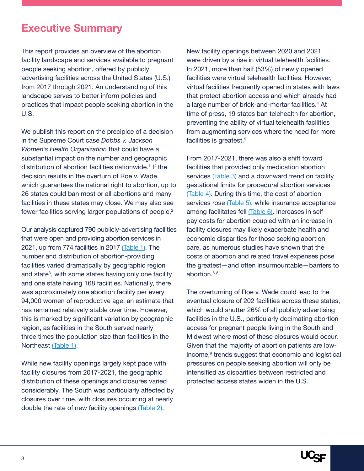### **Executive Summary**

This report provides an overview of the abortion facility landscape and services available to pregnant people seeking abortion, offered by publicly advertising facilities across the United States (U.S.) from 2017 through 2021. An understanding of this landscape serves to better inform policies and practices that impact people seeking abortion in the U.S.

We publish this report on the precipice of a decision in the Supreme Court case *Dobbs v. Jackson Women's Health Organization* that could have a substantial impact on the number and geographic distribution of abortion facilities nationwide.<sup>1</sup> If the decision results in the overturn of Roe v. Wade, which guarantees the national right to abortion, up to 26 states could ban most or all abortions and many facilities in these states may close. We may also see fewer facilities serving larger populations of people.<sup>2</sup>

Our analysis captured 790 publicly-advertising facilities that were open and providing abortion services in 2021, up from 774 facilities in 2017 [\(Table 1\)](#page-19-0). The number and distribution of abortion-providing facilities varied dramatically by geographic region and state<sup>3</sup>, with some states having only one facility and one state having 168 facilities. Nationally, there was approximately one abortion facility per every 94,000 women of reproductive age, an estimate that has remained relatively stable over time. However, this is marked by significant variation by geographic region, as facilities in the South served nearly three times the population size than facilities in the Northeast [\(Table 1\)](#page-19-0).

While new facility openings largely kept pace with facility closures from 2017-2021, the geographic distribution of these openings and closures varied considerably. The South was particularly affected by closures over time, with closures occurring at nearly double the rate of new facility openings [\(Table 2\).](#page-21-0)

New facility openings between 2020 and 2021 were driven by a rise in virtual telehealth facilities. In 2021, more than half (53%) of newly opened facilities were virtual telehealth facilities. However, virtual facilities frequently opened in states with laws that protect abortion access and which already had a large number of brick-and-mortar facilities.4 At time of press, 19 states ban telehealth for abortion, preventing the ability of virtual telehealth facilities from augmenting services where the need for more facilities is greatest.<sup>5</sup>

From 2017-2021, there was also a shift toward facilities that provided only medication abortion services [\(Table 3\)](#page-23-0) and a downward trend on facility gestational limits for procedural abortion services [\(Table 4\).](#page-25-0) During this time, the cost of abortion services rose [\(Table 5\)](#page-27-0), while insurance acceptance among facilitates fell [\(Table 6\).](#page-29-0) Increases in selfpay costs for abortion coupled with an increase in facility closures may likely exacerbate health and economic disparities for those seeking abortion care, as numerous studies have shown that the costs of abortion and related travel expenses pose the greatest—and often insurmountable—barriers to abortion.<sup>6-8</sup>

The overturning of Roe v. Wade could lead to the eventual closure of 202 facilities across these states, which would shutter 26% of all publicly advertising facilities in the U.S., particularly decimating abortion access for pregnant people living in the South and Midwest where most of these closures would occur. Given that the majority of abortion patients are lowincome,9 trends suggest that economic and logistical pressures on people seeking abortion will only be intensified as disparities between restricted and protected access states widen in the U.S.

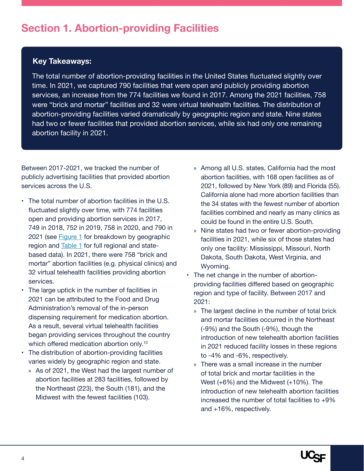### <span id="page-3-0"></span>**Section 1. Abortion-providing Facilities**

#### **Key Takeaways:**

The total number of abortion-providing facilities in the United States fluctuated slightly over time. In 2021, we captured 790 facilities that were open and publicly providing abortion services, an increase from the 774 facilities we found in 2017. Among the 2021 facilities, 758 were "brick and mortar" facilities and 32 were virtual telehealth facilities. The distribution of abortion-providing facilities varied dramatically by geographic region and state. Nine states had two or fewer facilities that provided abortion services, while six had only one remaining abortion facility in 2021.

Between 2017-2021, we tracked the number of publicly advertising facilities that provided abortion services across the U.S.

- The total number of abortion facilities in the U.S. fluctuated slightly over time, with 774 facilities open and providing abortion services in 2017, 749 in 2018, 752 in 2019, 758 in 2020, and 790 in 2021 (see [Figure 1](#page-4-0) for breakdown by geographic region and [Table 1](#page-19-0) for full regional and statebased data). In 2021, there were 758 "brick and mortar" abortion facilities (e.g. physical clinics) and 32 virtual telehealth facilities providing abortion services.
- The large uptick in the number of facilities in 2021 can be attributed to the Food and Drug Administration's removal of the in-person dispensing requirement for medication abortion. As a result, several virtual telehealth facilities began providing services throughout the country which offered medication abortion only.<sup>10</sup>
- The distribution of abortion-providing facilities varies widely by geographic region and state.
	- » As of 2021, the West had the largest number of abortion facilities at 283 facilities, followed by the Northeast (223), the South (181), and the Midwest with the fewest facilities (103).
- » Among all U.S. states, California had the most abortion facilities, with 168 open facilities as of 2021, followed by New York (89) and Florida (55). California alone had more abortion facilities than the 34 states with the fewest number of abortion facilities combined and nearly as many clinics as could be found in the entire U.S. South.
- » Nine states had two or fewer abortion-providing facilities in 2021, while six of those states had only one facility: Mississippi, Missouri, North Dakota, South Dakota, West Virginia, and Wyoming.
- The net change in the number of abortionproviding facilities differed based on geographic region and type of facility. Between 2017 and 2021:
	- » The largest decline in the number of total brick and mortar facilities occurred in the Northeast (-9%) and the South (-9%), though the introduction of new telehealth abortion facilities in 2021 reduced facility losses in these regions to -4% and -6%, respectively.
	- » There was a small increase in the number of total brick and mortar facilities in the West (+6%) and the Midwest (+10%). The introduction of new telehealth abortion facilities increased the number of total facilities to +9% and +16%, respectively.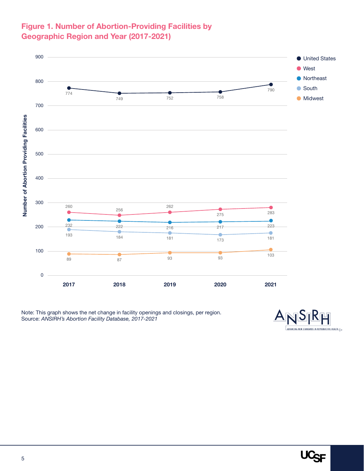#### <span id="page-4-0"></span>**Figure 1. Number of Abortion-Providing Facilities by Geographic Region and Year (2017-2021)**



Note: This graph shows the net change in facility openings and closings, per region. Source: *ANSIRH's Abortion Facility Database, 2017-2021*



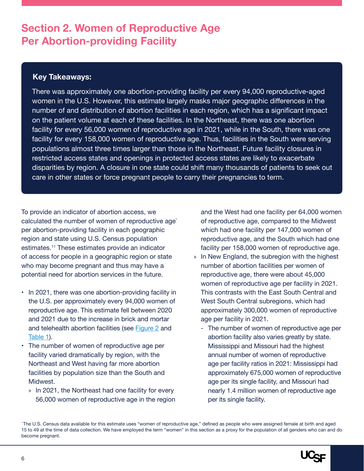### <span id="page-5-0"></span>**Section 2. Women of Reproductive Age Per Abortion-providing Facility**

#### **Key Takeaways:**

There was approximately one abortion-providing facility per every 94,000 reproductive-aged women in the U.S. However, this estimate largely masks major geographic differences in the number of and distribution of abortion facilities in each region, which has a significant impact on the patient volume at each of these facilities. In the Northeast, there was one abortion facility for every 56,000 women of reproductive age in 2021, while in the South, there was one facility for every 158,000 women of reproductive age. Thus, facilities in the South were serving populations almost three times larger than those in the Northeast. Future facility closures in restricted access states and openings in protected access states are likely to exacerbate disparities by region. A closure in one state could shift many thousands of patients to seek out care in other states or force pregnant people to carry their pregnancies to term.

To provide an indicator of abortion access, we calculated the number of women of reproductive age<sup>\*</sup> per abortion-providing facility in each geographic region and state using U.S. Census population estimates.11 These estimates provide an indicator of access for people in a geographic region or state who may become pregnant and thus may have a potential need for abortion services in the future.

- In 2021, there was one abortion-providing facility in the U.S. per approximately every 94,000 women of reproductive age. This estimate fell between 2020 and 2021 due to the increase in brick and mortar and telehealth abortion facilities (see [Figure 2](#page-6-0) and [Table 1\)](#page-19-0).
- The number of women of reproductive age per facility varied dramatically by region, with the Northeast and West having far more abortion facilities by population size than the South and Midwest.
	- » In 2021, the Northeast had one facility for every 56,000 women of reproductive age in the region

and the West had one facility per 64,000 women of reproductive age, compared to the Midwest which had one facility per 147,000 women of reproductive age, and the South which had one facility per 158,000 women of reproductive age.

- » In New England, the subregion with the highest number of abortion facilities per women of reproductive age, there were about 45,000 women of reproductive age per facility in 2021. This contrasts with the East South Central and West South Central subregions, which had approximately 300,000 women of reproductive age per facility in 2021.
	- ‐ The number of women of reproductive age per abortion facility also varies greatly by state. Mississippi and Missouri had the highest annual number of women of reproductive age per facility ratios in 2021: Mississippi had approximately 675,000 women of reproductive age per its single facility, and Missouri had nearly 1.4 million women of reproductive age per its single facility.

<sup>\*</sup> The U.S. Census data available for this estimate uses "women of reproductive age," defined as people who were assigned female at birth and aged 15 to 49 at the time of data collection. We have employed the term "women" in this section as a proxy for the population of all genders who can and do become pregnant.

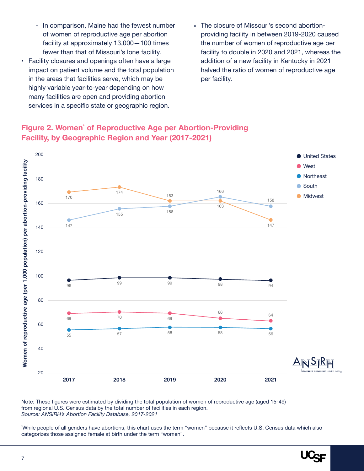- <span id="page-6-0"></span>‐ In comparison, Maine had the fewest number of women of reproductive age per abortion facility at approximately 13,000—100 times fewer than that of Missouri's lone facility.
- Facility closures and openings often have a large impact on patient volume and the total population in the areas that facilities serve, which may be highly variable year-to-year depending on how many facilities are open and providing abortion services in a specific state or geographic region.
- » The closure of Missouri's second abortionproviding facility in between 2019-2020 caused the number of women of reproductive age per facility to double in 2020 and 2021, whereas the addition of a new facility in Kentucky in 2021 halved the ratio of women of reproductive age per facility.

### **Figure 2. Women\* of Reproductive Age per Abortion-Providing Facility, by Geographic Region and Year (2017-2021)** 180 200



Note: These figures were estimated by dividing the total population of women of reproductive age (aged 15-49) from regional U.S. Census data by the total number of facilities in each region. *Source: ANSIRH's Abortion Facility Database, 2017-2021*

\* While people of all genders have abortions, this chart uses the term "women" because it reflects U.S. Census data which also categorizes those assigned female at birth under the term "women".



**United States**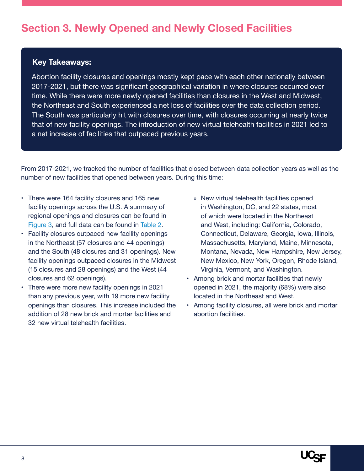### <span id="page-7-0"></span>**Section 3. Newly Opened and Newly Closed Facilities**

#### **Key Takeaways:**

Abortion facility closures and openings mostly kept pace with each other nationally between 2017-2021, but there was significant geographical variation in where closures occurred over time. While there were more newly opened facilities than closures in the West and Midwest, the Northeast and South experienced a net loss of facilities over the data collection period. The South was particularly hit with closures over time, with closures occurring at nearly twice that of new facility openings. The introduction of new virtual telehealth facilities in 2021 led to a net increase of facilities that outpaced previous years.

From 2017-2021, we tracked the number of facilities that closed between data collection years as well as the number of new facilities that opened between years. During this time:

- There were 164 facility closures and 165 new facility openings across the U.S. A summary of regional openings and closures can be found in [Figure 3](#page-8-0), and full data can be found in [Table 2.](#page-21-0)
- Facility closures outpaced new facility openings in the Northeast (57 closures and 44 openings) and the South (48 closures and 31 openings). New facility openings outpaced closures in the Midwest (15 closures and 28 openings) and the West (44 closures and 62 openings).
- There were more new facility openings in 2021 than any previous year, with 19 more new facility openings than closures. This increase included the addition of 28 new brick and mortar facilities and 32 new virtual telehealth facilities.
- » New virtual telehealth facilities opened in Washington, DC, and 22 states, most of which were located in the Northeast and West, including: California, Colorado, Connecticut, Delaware, Georgia, Iowa, Illinois, Massachusetts, Maryland, Maine, Minnesota, Montana, Nevada, New Hampshire, New Jersey, New Mexico, New York, Oregon, Rhode Island, Virginia, Vermont, and Washington.
- Among brick and mortar facilities that newly opened in 2021, the majority (68%) were also located in the Northeast and West.
- Among facility closures, all were brick and mortar abortion facilities.

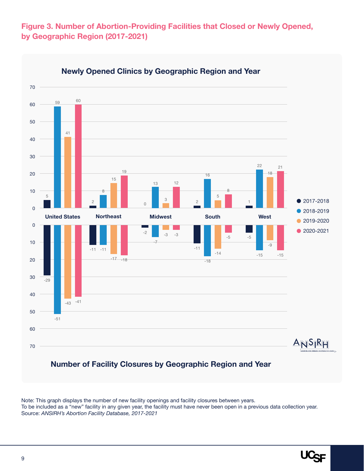<span id="page-8-0"></span>**Figure 3. Number of Abortion-Providing Facilities that Closed or Newly Opened, by Geographic Region (2017-2021)**



Note: This graph displays the number of new facility openings and facility closures between years. To be included as a "new" facility in any given year, the facility must have never been open in a previous data collection year. Source: *ANSIRH's Abortion Facility Database, 2017-2021*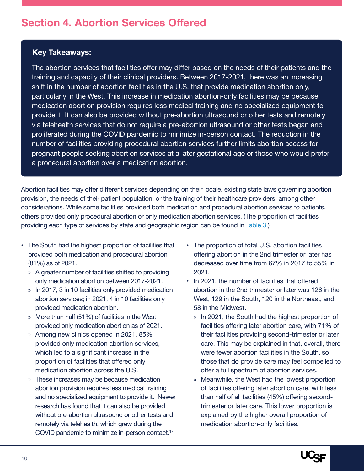### <span id="page-9-0"></span>**Section 4. Abortion Services Offered**

#### **Key Takeaways:**

The abortion services that facilities offer may differ based on the needs of their patients and the training and capacity of their clinical providers. Between 2017-2021, there was an increasing shift in the number of abortion facilities in the U.S. that provide medication abortion only, particularly in the West. This increase in medication abortion-only facilities may be because medication abortion provision requires less medical training and no specialized equipment to provide it. It can also be provided without pre-abortion ultrasound or other tests and remotely via telehealth services that do not require a pre-abortion ultrasound or other tests began and proliferated during the COVID pandemic to minimize in-person contact. The reduction in the number of facilities providing procedural abortion services further limits abortion access for pregnant people seeking abortion services at a later gestational age or those who would prefer a procedural abortion over a medication abortion.

Abortion facilities may offer different services depending on their locale, existing state laws governing abortion provision, the needs of their patient population, or the training of their healthcare providers, among other considerations. While some facilities provided both medication and procedural abortion services to patients, others provided only procedural abortion or only medication abortion services. (The proportion of facilities providing each type of services by state and geographic region can be found in [Table 3.\)](#page-23-0)

- The South had the highest proportion of facilities that provided both medication and procedural abortion (81%) as of 2021.
	- » A greater number of facilities shifted to providing only medication abortion between 2017-2021.
	- » In 2017, 3 in 10 facilities only provided medication abortion services; in 2021, 4 in 10 facilities only provided medication abortion.
	- » More than half (51%) of facilities in the West provided only medication abortion as of 2021.
	- » Among new clinics opened in 2021, 85% provided only medication abortion services, which led to a significant increase in the proportion of facilities that offered only medication abortion across the U.S.
	- » These increases may be because medication abortion provision requires less medical training and no specialized equipment to provide it. Newer research has found that it can also be provided without pre-abortion ultrasound or other tests and remotely via telehealth, which grew during the COVID pandemic to minimize in-person contact.17
- The proportion of total U.S. abortion facilities offering abortion in the 2nd trimester or later has decreased over time from 67% in 2017 to 55% in 2021.
- In 2021, the number of facilities that offered abortion in the 2nd trimester or later was 126 in the West, 129 in the South, 120 in the Northeast, and 58 in the Midwest.
	- » In 2021, the South had the highest proportion of facilities offering later abortion care, with 71% of their facilities providing second-trimester or later care. This may be explained in that, overall, there were fewer abortion facilities in the South, so those that do provide care may feel compelled to offer a full spectrum of abortion services.
	- » Meanwhile, the West had the lowest proportion of facilities offering later abortion care, with less than half of all facilities (45%) offering secondtrimester or later care. This lower proportion is explained by the higher overall proportion of medication abortion-only facilities.

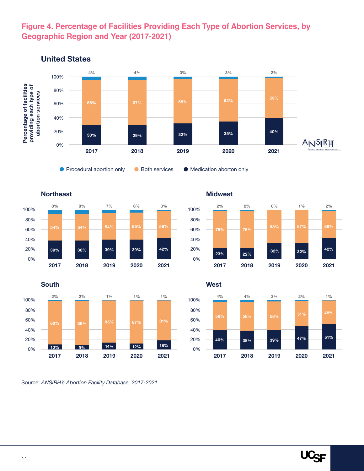#### **Figure 4. Percentage of Facilities Providing Each Type of Abortion Services, by Geographic Region and Year (2017-2021)**



#### **United States**





Source: *ANSIRH's Abortion Facility Database, 2017-2021*

0% 20% 40% 60% 80% 100% **22% 32% 23% 76% 2% 32% 0% 2% 56% 42% 1% 2%**

**2019**

**2020**

**2021**

**2018**

**Midwest**

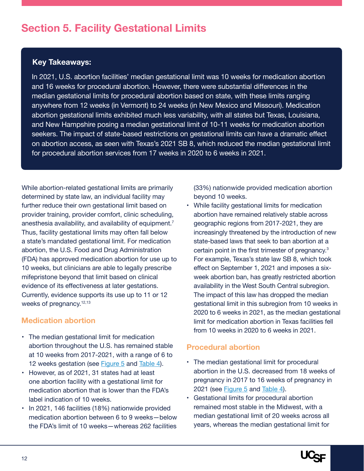### <span id="page-11-0"></span>**Section 5. Facility Gestational Limits**

#### **Key Takeaways:**

In 2021, U.S. abortion facilities' median gestational limit was 10 weeks for medication abortion and 16 weeks for procedural abortion. However, there were substantial differences in the median gestational limits for procedural abortion based on state, with these limits ranging anywhere from 12 weeks (in Vermont) to 24 weeks (in New Mexico and Missouri). Medication abortion gestational limits exhibited much less variability, with all states but Texas, Louisiana, and New Hampshire posing a median gestational limit of 10-11 weeks for medication abortion seekers. The impact of state-based restrictions on gestational limits can have a dramatic effect on abortion access, as seen with Texas's 2021 SB 8, which reduced the median gestational limit for procedural abortion services from 17 weeks in 2020 to 6 weeks in 2021.

While abortion-related gestational limits are primarily determined by state law, an individual facility may further reduce their own gestational limit based on provider training, provider comfort, clinic scheduling, anesthesia availability, and availability of equipment.<sup>7</sup> Thus, facility gestational limits may often fall below a state's mandated gestational limit. For medication abortion, the U.S. Food and Drug Administration (FDA) has approved medication abortion for use up to 10 weeks, but clinicians are able to legally prescribe mifepristone beyond that limit based on clinical evidence of its effectiveness at later gestations. Currently, evidence supports its use up to 11 or 12 weeks of pregnancy.<sup>12,13</sup>

#### **Medication abortion**

- The median gestational limit for medication abortion throughout the U.S. has remained stable at 10 weeks from 2017-2021, with a range of 6 to 12 weeks gestation (see [Figure 5](#page-12-0) and [Table 4](#page-25-0)).
- However, as of 2021, 31 states had at least one abortion facility with a gestational limit for medication abortion that is lower than the FDA's label indication of 10 weeks.
- In 2021, 146 facilities (18%) nationwide provided medication abortion between 6 to 9 weeks—below the FDA's limit of 10 weeks—whereas 262 facilities

(33%) nationwide provided medication abortion beyond 10 weeks.

• While facility gestational limits for medication abortion have remained relatively stable across geographic regions from 2017-2021, they are increasingly threatened by the introduction of new state-based laws that seek to ban abortion at a certain point in the first trimester of pregnancy.<sup>3</sup> For example, Texas's state law SB 8, which took effect on September 1, 2021 and imposes a sixweek abortion ban, has greatly restricted abortion availability in the West South Central subregion. The impact of this law has dropped the median gestational limit in this subregion from 10 weeks in 2020 to 6 weeks in 2021, as the median gestational limit for medication abortion in Texas facilities fell from 10 weeks in 2020 to 6 weeks in 2021.

#### **Procedural abortion**

- The median gestational limit for procedural abortion in the U.S. decreased from 18 weeks of pregnancy in 2017 to 16 weeks of pregnancy in 2021 (see [Figure 5](#page-12-0) and [Table 4](#page-25-0)).
- Gestational limits for procedural abortion remained most stable in the Midwest, with a median gestational limit of 20 weeks across all years, whereas the median gestational limit for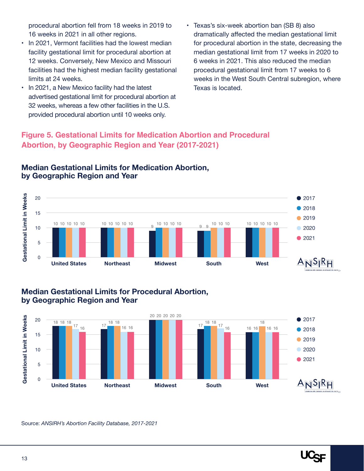<span id="page-12-0"></span>procedural abortion fell from 18 weeks in 2019 to 16 weeks in 2021 in all other regions.

- In 2021, Vermont facilities had the lowest median facility gestational limit for procedural abortion at 12 weeks. Conversely, New Mexico and Missouri facilities had the highest median facility gestational limits at 24 weeks.
- In 2021, a New Mexico facility had the latest advertised gestational limit for procedural abortion at 32 weeks, whereas a few other facilities in the U.S. provided procedural abortion until 10 weeks only.
- Texas's six-week abortion ban (SB 8) also dramatically affected the median gestational limit for procedural abortion in the state, decreasing the median gestational limit from 17 weeks in 2020 to 6 weeks in 2021. This also reduced the median procedural gestational limit from 17 weeks to 6 weeks in the West South Central subregion, where Texas is located.

#### **Figure 5. Gestational Limits for Medication Abortion and Procedural Abortion, by Geographic Region and Year (2017-2021)**



#### **Median Gestational Limits for Medication Abortion, by Geographic Region and Year**

#### **Median Gestational Limits for Procedural Abortion, by Geographic Region and Year**



Source: *ANSIRH's Abortion Facility Database, 2017-2021*

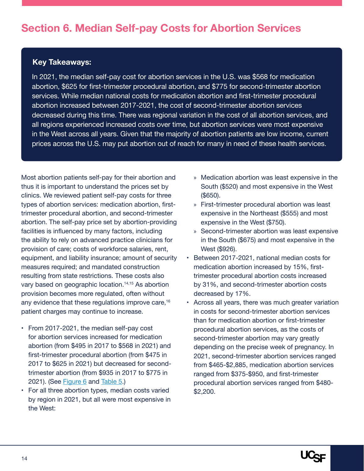### <span id="page-13-0"></span>**Section 6. Median Self-pay Costs for Abortion Services**

#### **Key Takeaways:**

In 2021, the median self-pay cost for abortion services in the U.S. was \$568 for medication abortion, \$625 for first-trimester procedural abortion, and \$775 for second-trimester abortion services. While median national costs for medication abortion and first-trimester procedural abortion increased between 2017-2021, the cost of second-trimester abortion services decreased during this time. There was regional variation in the cost of all abortion services, and all regions experienced increased costs over time, but abortion services were most expensive in the West across all years. Given that the majority of abortion patients are low income, current prices across the U.S. may put abortion out of reach for many in need of these health services.

Most abortion patients self-pay for their abortion and thus it is important to understand the prices set by clinics. We reviewed patient self-pay costs for three types of abortion services: medication abortion, firsttrimester procedural abortion, and second-trimester abortion. The self-pay price set by abortion-providing facilities is influenced by many factors, including the ability to rely on advanced practice clinicians for provision of care; costs of workforce salaries, rent, equipment, and liability insurance; amount of security measures required; and mandated construction resulting from state restrictions. These costs also vary based on geographic location.<sup>14,15</sup> As abortion provision becomes more regulated, often without any evidence that these regulations improve care,<sup>16</sup> patient charges may continue to increase.

- From 2017-2021, the median self-pay cost for abortion services increased for medication abortion (from \$495 in 2017 to \$568 in 2021) and first-trimester procedural abortion (from \$475 in 2017 to \$625 in 2021) but decreased for secondtrimester abortion (from \$935 in 2017 to \$775 in 2021). (See [Figure 6](#page-14-0) and [Table 5](#page-27-0).)
- For all three abortion types, median costs varied by region in 2021, but all were most expensive in the West:
- » Medication abortion was least expensive in the South (\$520) and most expensive in the West (\$650).
- » First-trimester procedural abortion was least expensive in the Northeast (\$555) and most expensive in the West (\$750).
- » Second-trimester abortion was least expensive in the South (\$675) and most expensive in the West (\$926).
- Between 2017-2021, national median costs for medication abortion increased by 15%, firsttrimester procedural abortion costs increased by 31%, and second-trimester abortion costs decreased by 17%.
- Across all years, there was much greater variation in costs for second-trimester abortion services than for medication abortion or first-trimester procedural abortion services, as the costs of second-trimester abortion may vary greatly depending on the precise week of pregnancy. In 2021, second-trimester abortion services ranged from \$465-\$2,885, medication abortion services ranged from \$375-\$950, and first-trimester procedural abortion services ranged from \$480- \$2,200.

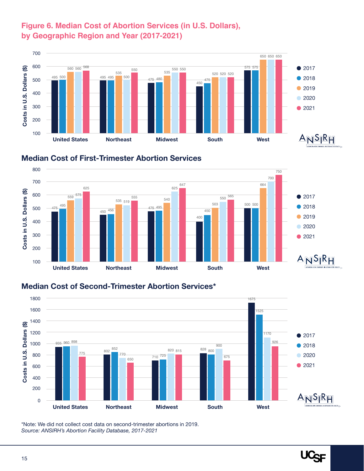#### <span id="page-14-0"></span>**Figure 6. Median Cost of Abortion Services (in U.S. Dollars), by Geographic Region and Year (2017-2021)**







#### **Median Cost of Second-Trimester Abortion Services\***



\*Note: We did not collect cost data on second-trimester abortions in 2019. *Source: ANSIRH's Abortion Facility Database, 2017-2021*

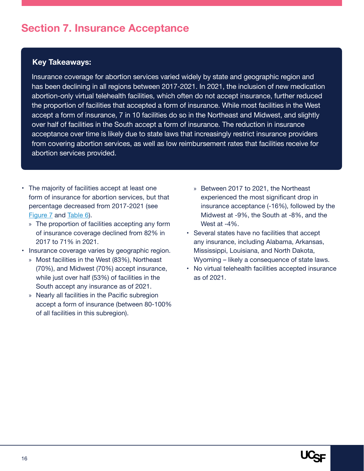### <span id="page-15-0"></span>**Section 7. Insurance Acceptance**

#### **Key Takeaways:**

Insurance coverage for abortion services varied widely by state and geographic region and has been declining in all regions between 2017-2021. In 2021, the inclusion of new medication abortion-only virtual telehealth facilities, which often do not accept insurance, further reduced the proportion of facilities that accepted a form of insurance. While most facilities in the West accept a form of insurance, 7 in 10 facilities do so in the Northeast and Midwest, and slightly over half of facilities in the South accept a form of insurance. The reduction in insurance acceptance over time is likely due to state laws that increasingly restrict insurance providers from covering abortion services, as well as low reimbursement rates that facilities receive for abortion services provided.

- The majority of facilities accept at least one form of insurance for abortion services, but that percentage decreased from 2017-2021 (see [Figure 7](#page-16-0) and [Table 6](#page-29-0)).
	- » The proportion of facilities accepting any form of insurance coverage declined from 82% in 2017 to 71% in 2021.
- Insurance coverage varies by geographic region.
	- » Most facilities in the West (83%), Northeast (70%), and Midwest (70%) accept insurance, while just over half (53%) of facilities in the South accept any insurance as of 2021.
	- » Nearly all facilities in the Pacific subregion accept a form of insurance (between 80-100% of all facilities in this subregion).
- » Between 2017 to 2021, the Northeast experienced the most significant drop in insurance acceptance (-16%), followed by the Midwest at -9%, the South at -8%, and the West at -4%.
- Several states have no facilities that accept any insurance, including Alabama, Arkansas, Mississippi, Louisiana, and North Dakota, Wyoming – likely a consequence of state laws.
- No virtual telehealth facilities accepted insurance as of 2021.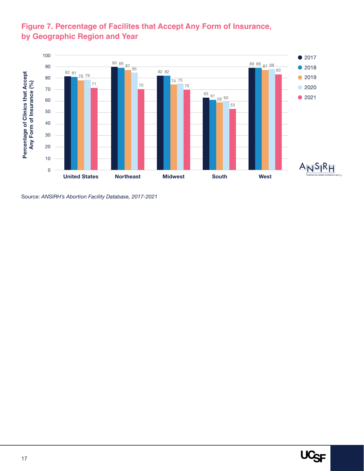#### <span id="page-16-0"></span>**Figure 7. Percentage of Facilites that Accept Any Form of Insurance, by Geographic Region and Year**



Source: *ANSIRH's Abortion Facility Database, 2017-2021*

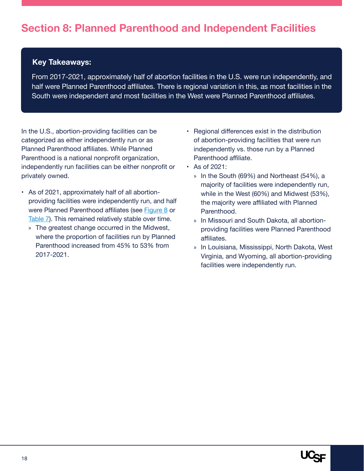#### <span id="page-17-0"></span>**Key Takeaways:**

From 2017-2021, approximately half of abortion facilities in the U.S. were run independently, and half were Planned Parenthood affiliates. There is regional variation in this, as most facilities in the South were independent and most facilities in the West were Planned Parenthood affiliates.

In the U.S., abortion-providing facilities can be categorized as either independently run or as Planned Parenthood affiliates. While Planned Parenthood is a national nonprofit organization, independently run facilities can be either nonprofit or privately owned.

- As of 2021, approximately half of all abortionproviding facilities were independently run, and half were Planned Parenthood affiliates (see [Figure 8](#page-18-0) or [Table 7\)](#page-31-0). This remained relatively stable over time.
	- » The greatest change occurred in the Midwest, where the proportion of facilities run by Planned Parenthood increased from 45% to 53% from 2017-2021.
- Regional differences exist in the distribution of abortion-providing facilities that were run independently vs. those run by a Planned Parenthood affiliate.
- As of 2021:
	- » In the South (69%) and Northeast (54%), a majority of facilities were independently run, while in the West (60%) and Midwest (53%), the majority were affiliated with Planned Parenthood.
	- » In Missouri and South Dakota, all abortionproviding facilities were Planned Parenthood affiliates.
	- » In Louisiana, Mississippi, North Dakota, West Virginia, and Wyoming, all abortion-providing facilities were independently run.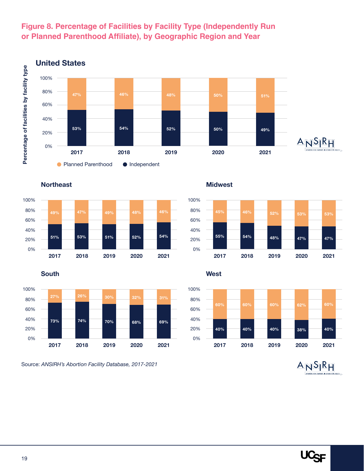

#### <span id="page-18-0"></span>**Figure 8. Percentage of Facilities by Facility Type (Independently Run or Planned Parenthood Affiliate), by Geographic Region and Year**

**Northeast**





Source: *ANSIRH's Abortion Facility Database, 2017-2021*

**Midwest**



**South West**



 $A N S R H$ 

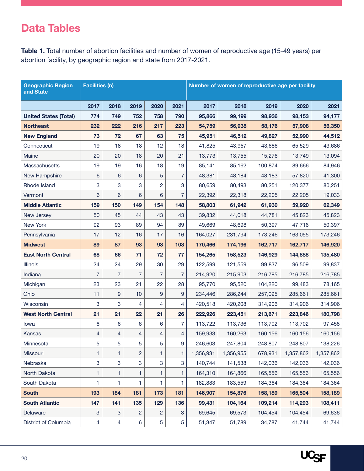### <span id="page-19-0"></span>**Data Tables**

**Table 1.** Total number of abortion facilities and number of women of reproductive age (15-49 years) per abortion facility, by geographic region and state from 2017-2021.

| <b>Geographic Region</b><br>and State | <b>Facilities (n)</b>     |                |                |      |                | Number of women of reproductive age per facility |           |         |           |           |  |  |
|---------------------------------------|---------------------------|----------------|----------------|------|----------------|--------------------------------------------------|-----------|---------|-----------|-----------|--|--|
|                                       | 2017                      | 2018           | 2019           | 2020 | 2021           | 2017                                             | 2018      | 2019    | 2020      | 2021      |  |  |
| <b>United States (Total)</b>          | 774                       | 749            | 752            | 758  | 790            | 95,866                                           | 99,199    | 98,936  | 98,153    | 94,177    |  |  |
| <b>Northeast</b>                      | 232                       | 222            | 216            | 217  | 223            | 54,759                                           | 56,938    | 58,176  | 57,908    | 56,350    |  |  |
| <b>New England</b>                    | 73                        | 72             | 67             | 63   | 75             | 45,951                                           | 46,512    | 49,827  | 52,990    | 44,512    |  |  |
| Connecticut                           | 19                        | 18             | 18             | 12   | 18             | 41,825                                           | 43,957    | 43,686  | 65,529    | 43,686    |  |  |
| Maine                                 | 20                        | 20             | 18             | 20   | 21             | 13,773                                           | 13,755    | 15,276  | 13,749    | 13,094    |  |  |
| Massachusetts                         | 19                        | 19             | 16             | 18   | 19             | 85,141                                           | 85,162    | 100,874 | 89,666    | 84,946    |  |  |
| New Hampshire                         | 6                         | 6              | 6              | 5    | 7              | 48,381                                           | 48,184    | 48,183  | 57,820    | 41,300    |  |  |
| Rhode Island                          | 3                         | 3              | 3              | 2    | 3              | 80,659                                           | 80,493    | 80,251  | 120,377   | 80,251    |  |  |
| Vermont                               | 6                         | 6              | 6              | 6    | $\overline{7}$ | 22,392                                           | 22,318    | 22,205  | 22,205    | 19,033    |  |  |
| <b>Middle Atlantic</b>                | 159                       | 150            | 149            | 154  | 148            | 58,803                                           | 61,942    | 61,930  | 59,920    | 62,349    |  |  |
| New Jersey                            | 50                        | 45             | 44             | 43   | 43             | 39,832                                           | 44,018    | 44,781  | 45,823    | 45,823    |  |  |
| New York                              | 92                        | 93             | 89             | 94   | 89             | 49,669                                           | 48,698    | 50,397  | 47,716    | 50,397    |  |  |
| Pennsylvania                          | 17                        | 12             | 16             | 17   | 16             | 164,027                                          | 231,794   | 173,246 | 163,055   | 173,246   |  |  |
| <b>Midwest</b>                        | 89                        | 87             | 93             | 93   | 103            | 170,466                                          | 174,196   | 162,717 | 162,717   | 146,920   |  |  |
| <b>East North Central</b>             | 68                        | 66             | 71             | 72   | 77             | 154,265                                          | 158,523   | 146,929 | 144,888   | 135,480   |  |  |
| Illinois                              | 24                        | 24             | 29             | 30   | 29             | 122,599                                          | 121,559   | 99,837  | 96,509    | 99,837    |  |  |
| Indiana                               | 7                         | $\overline{7}$ | $\overline{7}$ | 7    | $\overline{7}$ | 214,920                                          | 215,903   | 216,785 | 216,785   | 216,785   |  |  |
| Michigan                              | 23                        | 23             | 21             | 22   | 28             | 95,770                                           | 95,520    | 104,220 | 99,483    | 78,165    |  |  |
| Ohio                                  | 11                        | 9              | 10             | 9    | 9              | 234,446                                          | 286,244   | 257,095 | 285,661   | 285,661   |  |  |
| Wisconsin                             | 3                         | 3              | 4              | 4    | 4              | 420,518                                          | 420,208   | 314,906 | 314,906   | 314,906   |  |  |
| <b>West North Central</b>             | 21                        | 21             | 22             | 21   | 26             | 222,926                                          | 223,451   | 213,671 | 223,846   | 180,798   |  |  |
| lowa                                  | 6                         | 6              | 6              | 6    | $\overline{7}$ | 113,722                                          | 113,736   | 113,702 | 113,702   | 97,458    |  |  |
| Kansas                                | 4                         | 4              | 4              | 4    | 4              | 159,933                                          | 160,263   | 160,156 | 160,156   | 160,156   |  |  |
| Minnesota                             | 5                         | 5              | 5              | 5    | 9              | 246,603                                          | 247,804   | 248,807 | 248,807   | 138,226   |  |  |
| Missouri                              | 1                         | 1              | 2              | 1    | 1              | 1,356,931                                        | 1,356,955 | 678,931 | 1,357,862 | 1,357,862 |  |  |
| Nebraska                              | 3                         | 3              | 3              | 3    | 3              | 140,744                                          | 141,538   | 142,036 | 142,036   | 142,036   |  |  |
| North Dakota                          | 1                         | 1              | 1              | 1    | 1              | 164,310                                          | 164,866   | 165,556 | 165,556   | 165,556   |  |  |
| South Dakota                          | 1                         | 1              | 1              | 1.   | 1              | 182,883                                          | 183,559   | 184,364 | 184,364   | 184,364   |  |  |
| <b>South</b>                          | 193                       | 184            | 181            | 173  | 181            | 146,907                                          | 154,876   | 158,189 | 165,504   | 158,189   |  |  |
| <b>South Atlantic</b>                 | 147                       | 141            | 135            | 129  | 136            | 99,431                                           | 104,164   | 109,214 | 114,293   | 108,411   |  |  |
| Delaware                              | $\ensuremath{\mathsf{3}}$ | 3              | 2              | 2    | 3              | 69,645                                           | 69,573    | 104,454 | 104,454   | 69,636    |  |  |
| District of Columbia                  | 4                         | 4              | 6              | 5    | 5              | 51,347                                           | 51,789    | 34,787  | 41,744    | 41,744    |  |  |

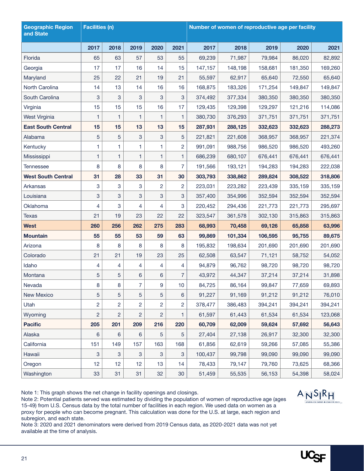| <b>Geographic Region</b><br>and State | <b>Facilities (n)</b> |                |                |      |                 | Number of women of reproductive age per facility |         |         |         |         |  |  |
|---------------------------------------|-----------------------|----------------|----------------|------|-----------------|--------------------------------------------------|---------|---------|---------|---------|--|--|
|                                       | 2017                  | 2018           | 2019           | 2020 | 2021            | 2017                                             | 2018    | 2019    | 2020    | 2021    |  |  |
| Florida                               | 65                    | 63             | 57             | 53   | 55              | 69,239                                           | 71,987  | 79,984  | 86,020  | 82,892  |  |  |
| Georgia                               | 17                    | 17             | 16             | 14   | 15              | 147,157                                          | 148,198 | 158,681 | 181,350 | 169,260 |  |  |
| Maryland                              | 25                    | 22             | 21             | 19   | 21              | 55,597                                           | 62,917  | 65,640  | 72,550  | 65,640  |  |  |
| North Carolina                        | 14                    | 13             | 14             | 16   | 16              | 168,875                                          | 183,326 | 171,254 | 149,847 | 149,847 |  |  |
| South Carolina                        | 3                     | 3              | 3              | 3    | 3               | 374,492                                          | 377,334 | 380,350 | 380,350 | 380,350 |  |  |
| Virginia                              | 15                    | 15             | 15             | 16   | 17              | 129,435                                          | 129,398 | 129,297 | 121,216 | 114,086 |  |  |
| West Virginia                         | 1                     | 1              | $\mathbf{1}$   | 1    | $\mathbf{1}$    | 380,730                                          | 376,293 | 371,751 | 371,751 | 371,751 |  |  |
| <b>East South Central</b>             | 15                    | 15             | 13             | 13   | 15              | 287,931                                          | 288,125 | 332,623 | 332,623 | 288,273 |  |  |
| Alabama                               | 5                     | 5              | 3              | 3    | 5               | 221,821                                          | 221,608 | 368,957 | 368,957 | 221,374 |  |  |
| Kentucky                              | 1                     | 1              | 1              | 1    | $\overline{2}$  | 991,091                                          | 988,756 | 986,520 | 986,520 | 493,260 |  |  |
| Mississippi                           | 1                     | 1              | 1              | 1    | 1               | 686,239                                          | 680,107 | 676,441 | 676,441 | 676,441 |  |  |
| <b>Tennessee</b>                      | 8                     | 8              | 8              | 8    | 7               | 191,566                                          | 193,121 | 194,283 | 194,283 | 222,038 |  |  |
| <b>West South Central</b>             | 31                    | 28             | 33             | 31   | 30              | 303,793                                          | 338,862 | 289,824 | 308,522 | 318,806 |  |  |
| Arkansas                              | 3                     | 3              | 3              | 2    | $\overline{2}$  | 223,031                                          | 223,282 | 223,439 | 335,159 | 335,159 |  |  |
| Louisiana                             | 3                     | 3              | 3              | 3    | 3               | 357,400                                          | 354,996 | 352,594 | 352,594 | 352,594 |  |  |
| Oklahoma                              | 4                     | 3              | 4              | 4    | 3               | 220,452                                          | 294,436 | 221,773 | 221,773 | 295,697 |  |  |
| <b>Texas</b>                          | 21                    | 19             | 23             | 22   | 22              | 323,547                                          | 361,578 | 302,130 | 315,863 | 315,863 |  |  |
| <b>West</b>                           | 260                   | 256            | 262            | 275  | 283             | 68,993                                           | 70,458  | 69,126  | 65,858  | 63,996  |  |  |
| <b>Mountain</b>                       | 55                    | 55             | 53             | 59   | 63              | 99,869                                           | 101,334 | 106,595 | 95,755  | 89,675  |  |  |
| Arizona                               | 8                     | 8              | 8              | 8    | 8               | 195,832                                          | 198,634 | 201,690 | 201,690 | 201,690 |  |  |
| Colorado                              | 21                    | 21             | 19             | 23   | 25              | 62,508                                           | 63,547  | 71,121  | 58,752  | 54,052  |  |  |
| Idaho                                 | 4                     | 4              | 4              | 4    | 4               | 94,879                                           | 96,762  | 98,720  | 98,720  | 98,720  |  |  |
| Montana                               | 5                     | 5              | 6              | 6    | $\overline{7}$  | 43,972                                           | 44,347  | 37,214  | 37,214  | 31,898  |  |  |
| Nevada                                | 8                     | 8              | $\overline{7}$ | 9    | 10 <sub>1</sub> | 84,725                                           | 86,164  | 99,847  | 77,659  | 69,893  |  |  |
| <b>New Mexico</b>                     | 5                     | 5              | 5              | 5    | 6               | 91,227                                           | 91,169  | 91,212  | 91,212  | 76,010  |  |  |
| Utah                                  | 2                     | 2              | $\overline{c}$ | 2    | 2               | 378,477                                          | 386,483 | 394,241 | 394,241 | 394,241 |  |  |
| Wyoming                               | $\overline{c}$        | $\overline{c}$ | $\overline{c}$ | 2    | 1.              | 61,597                                           | 61,443  | 61,534  | 61,534  | 123,068 |  |  |
| <b>Pacific</b>                        | 205                   | 201            | 209            | 216  | 220             | 60,709                                           | 62,009  | 59,624  | 57,692  | 56,643  |  |  |
| Alaska                                | 6                     | 6              | 6              | 5    | 5               | 27,404                                           | 27,138  | 26,917  | 32,300  | 32,300  |  |  |
| California                            | 151                   | 149            | 157            | 163  | 168             | 61,856                                           | 62,619  | 59,266  | 57,085  | 55,386  |  |  |
| Hawaii                                | 3                     | 3              | 3              | 3    | 3               | 100,437                                          | 99,798  | 99,090  | 99,090  | 99,090  |  |  |
| Oregon                                | 12                    | 12             | 12             | 13   | 14              | 78,433                                           | 79,147  | 79,760  | 73,625  | 68,366  |  |  |
| Washington                            | 33                    | 31             | 31             | 32   | 30              | 51,459                                           | 55,535  | 56,153  | 54,398  | 58,024  |  |  |

Note 1: This graph shows the net change in facility openings and closings.

Note 2: Potential patients served was estimated by dividing the population of women of reproductive age (ages 15-49) from U.S. Census data by the total number of facilities in each region. We used data on women as a proxy for people who can become pregnant. This calculation was done for the U.S. at large, each region and subregion, and each state.

Note 3: 2020 and 2021 denominators were derived from 2019 Census data, as 2020-2021 data was not yet available at the time of analysis.



 $ANSIRH$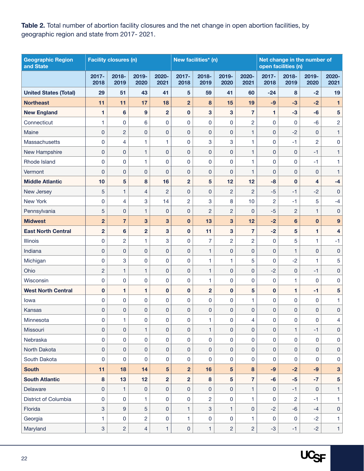<span id="page-21-0"></span>**Table 2.** Total number of abortion facility closures and the net change in open abortion facilities, by geographic region and state from 2017- 2021.

| <b>Geographic Region</b><br>and State |                  | <b>Facility closures (n)</b> |                     |                     |                | New facilities* (n) |                 |                | Net change in the number of<br>open facilities (n) |                |                |                         |  |
|---------------------------------------|------------------|------------------------------|---------------------|---------------------|----------------|---------------------|-----------------|----------------|----------------------------------------------------|----------------|----------------|-------------------------|--|
|                                       | $2017 -$<br>2018 | 2018-<br>2019                | 2019-<br>2020       | 2020-<br>2021       | 2017-<br>2018  | 2018-<br>2019       | 2019-<br>2020   | 2020-<br>2021  | 2017-<br>2018                                      | 2018-<br>2019  | 2019-<br>2020  | 2020-<br>2021           |  |
| <b>United States (Total)</b>          | 29               | 51                           | 43                  | 41                  | 5              | 59                  | 41              | 60             | $-24$                                              | 8              | $-2$           | 19                      |  |
| <b>Northeast</b>                      | 11               | 11                           | 17                  | 18                  | $\overline{2}$ | 8                   | 15              | 19             | $-9$                                               | $-3$           | $-2$           | 1                       |  |
| <b>New England</b>                    | 1                | $6\phantom{1}6$              | 9                   | $\overline{2}$      | $\mathbf 0$    | 3                   | 3               | $\overline{7}$ | 1                                                  | $-3$           | $-6$           | $5\phantom{.0}$         |  |
| Connecticut                           | 1                | 0                            | 6                   | 0                   | 0              | 0                   | $\mathbf 0$     | $\overline{c}$ | 0                                                  | 0              | $-6$           | $\overline{c}$          |  |
| Maine                                 | 0                | $\overline{c}$               | $\mathbf 0$         | $\overline{0}$      | 0              | 0                   | $\mathbf{0}$    | $\mathbf{1}$   | 0                                                  | $-2$           | 0              | 1                       |  |
| Massachusetts                         | 0                | 4                            | 1                   | 1                   | 0              | 3                   | 3               | 1              | 0                                                  | $-1$           | $\overline{2}$ | 0                       |  |
| New Hampshire                         | 0                | $\pmb{0}$                    | 1                   | 0                   | 0              | 0                   | $\overline{0}$  | $\mathbf{1}$   | 0                                                  | $\overline{0}$ | $-1$           | 1                       |  |
| Rhode Island                          | 0                | 0                            | 1                   | 0                   | 0              | 0                   | $\mathbf 0$     | 1              | 0                                                  | $\mathbf 0$    | $-1$           | 1                       |  |
| Vermont                               | $\overline{0}$   | $\mathbf 0$                  | $\mathbf 0$         | 0                   | 0              | 0                   | $\mathbf 0$     | 1              | 0                                                  | $\mathbf 0$    | $\mathbf{0}$   | 1                       |  |
| <b>Middle Atlantic</b>                | 10               | 5                            | 8                   | 16                  | $\overline{2}$ | 5                   | 12              | 12             | $-8$                                               | $\mathbf 0$    | 4              | $-4$                    |  |
| New Jersey                            | 5                | 1                            | $\overline{4}$      | $\overline{c}$      | 0              | 0                   | $\overline{c}$  | $\overline{c}$ | $-5$                                               | $-1$           | $-2$           | $\mathbf{0}$            |  |
| New York                              | 0                | 4                            | 3                   | 14                  | $\overline{c}$ | 3                   | 8               | 10             | $\overline{c}$                                     | $-1$           | 5              | $-4$                    |  |
| Pennsylvania                          | 5                | $\mathbf{0}$                 | $\mathbf{1}$        | 0                   | 0              | $\overline{c}$      | $\overline{c}$  | $\Omega$       | $-5$                                               | $\overline{2}$ | $\mathbf{1}$   | $\pmb{0}$               |  |
| <b>Midwest</b>                        | $\overline{2}$   | $\overline{7}$               | 3                   | 3                   | $\mathbf 0$    | 13                  | 3               | 12             | $-2$                                               | 6              | $\bf{0}$       | $9$                     |  |
| <b>East North Central</b>             | $\overline{2}$   | $6\phantom{a}$               | $\overline{2}$      | 3                   | $\mathbf{0}$   | 11                  | 3               | $\overline{7}$ | $-2$                                               | 5              | 1.             | 4                       |  |
| Illinois                              | 0                | $\overline{c}$               | 1                   | 3                   | 0              | 7                   | $\overline{c}$  | $\overline{c}$ | 0                                                  | 5              | 1              | $-1$                    |  |
| Indiana                               | 0                | 0                            | $\mathsf 0$         | 0                   | 0              | 1                   | $\mathbf 0$     | $\overline{0}$ | 0                                                  | 1              | 0              | 0                       |  |
| Michigan                              | 0                | 3                            | $\mathbf 0$         | 0                   | 0              | 1                   | 1               | 5              | 0                                                  | $-2$           | 1              | 5                       |  |
| Ohio                                  | $\overline{c}$   | 1                            | $\mathbf{1}$        | 0                   | 0              | 1                   | $\overline{0}$  | $\overline{0}$ | $-2$                                               | 0              | $-1$           | 0                       |  |
| Wisconsin                             | 0                | $\pmb{0}$                    | 0                   | 0                   | 0              | 1                   | $\mathbf 0$     | $\overline{0}$ | 0                                                  | 1              | 0              | 0                       |  |
| <b>West North Central</b>             | $\mathbf 0$      | 1                            | 1                   | $\mathbf 0$         | $\mathbf 0$    | $\overline{2}$      | $\mathbf 0$     | 5              | $\mathbf 0$                                        | 1              | $-1$           | 5                       |  |
| lowa                                  | 0                | $\mathbf 0$                  | $\mathbf 0$         | 0                   | 0              | 0                   | $\mathbf 0$     | 1              | 0                                                  | $\mathbf 0$    | 0              | 1                       |  |
| Kansas                                | 0                | $\pmb{0}$                    | $\overline{0}$      | $\mathsf{O}\xspace$ | 0              | 0                   | 0               | $\overline{0}$ | 0                                                  | 0              | $\mathbf{0}$   | $\mathsf{O}\xspace$     |  |
| Minnesota                             | 0                | 1                            | 0                   | 0                   | 0              | 1                   | 0               | 4              | $\Omega$                                           | 0              | $\Omega$       | 4                       |  |
| Missouri                              | 0                | $\mathsf{O}\xspace$          | $\mathbf{1}$        | $\mathsf{O}\xspace$ | $\mathsf 0$    | 1                   | $\mathbf 0$     | $\overline{0}$ | 0                                                  | $\mathbf{1}$   | $-1$           | 0                       |  |
| Nebraska                              | $\mathsf 0$      | $\pmb{0}$                    | $\mathsf 0$         | 0                   | 0              | 0                   | $\mathsf 0$     | 0              | $\pmb{0}$                                          | $\mathbf 0$    | 0              | 0                       |  |
| North Dakota                          | 0                | 0                            | $\overline{0}$      | $\mathsf{O}\xspace$ | $\mathsf 0$    | $\pmb{0}$           | $\mathbf 0$     | $\overline{0}$ | $\mathbf 0$                                        | $\mathbf{0}$   | $\mathbf{0}$   | 0                       |  |
| South Dakota                          | 0                | 0                            | $\mathbf 0$         | $\mathbf 0$         | 0              | 0                   | $\mathbf 0$     | 0              | 0                                                  | 0              | 0              | 0                       |  |
| <b>South</b>                          | 11               | 18                           | 14                  | 5                   | $\overline{2}$ | 16                  | $\overline{5}$  | 8              | $-9$                                               | $-2$           | $-9$           | $\overline{\mathbf{3}}$ |  |
| <b>South Atlantic</b>                 | $\bf{8}$         | 13                           | 12                  | $\overline{2}$      | $\overline{2}$ | $\bf{8}$            | $5\phantom{.0}$ | $\overline{7}$ | $-6$                                               | $-5$           | $-7$           | $\overline{5}$          |  |
| Delaware                              | $\mathsf 0$      | $\mathbf{1}$                 | $\mathsf{O}\xspace$ | 0                   | 0              | $\pmb{0}$           | $\pmb{0}$       | $\mathbf{1}$   | $\pmb{0}$                                          | $-1$           | $\mathbf{0}$   | 1                       |  |
| District of Columbia                  | 0                | $\mathbf 0$                  | 1                   | $\mathsf 0$         | 0              | $\overline{2}$      | $\mathbf 0$     | 1              | $\mathbf 0$                                        | $\overline{c}$ | $-1$           | 1                       |  |
| Florida                               | 3                | $\boldsymbol{9}$             | 5                   | 0                   | 1              | 3                   | $\mathbf{1}$    | 0              | $-2$                                               | $-6$           | $-4$           | $\pmb{0}$               |  |
| Georgia                               | 1                | $\pmb{0}$                    | $\overline{c}$      | 0                   | 1              | $\pmb{0}$           | $\mathbf 0$     | 1              | $\mathbf 0$                                        | 0              | $-2$           | 1                       |  |
| Maryland                              | 3                | $\overline{2}$               | $\overline{4}$      | $\mathbf{1}$        | 0              | $\mathbf{1}$        | $\overline{2}$  | $\overline{c}$ | $-3$                                               | $-1$           | $-2$           | $\mathbf{1}$            |  |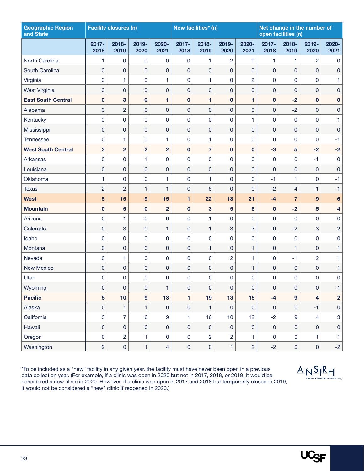| <b>Geographic Region</b><br>and State |                     | <b>Facility closures (n)</b> |                  |                     |                     | New facilities* (n) |                |                | Net change in the number of<br>open facilities (n) |                     |                         |                         |
|---------------------------------------|---------------------|------------------------------|------------------|---------------------|---------------------|---------------------|----------------|----------------|----------------------------------------------------|---------------------|-------------------------|-------------------------|
|                                       | $2017 -$<br>2018    | 2018-<br>2019                | 2019-<br>2020    | 2020-<br>2021       | 2017-<br>2018       | 2018-<br>2019       | 2019-<br>2020  | 2020-<br>2021  | 2017-<br>2018                                      | 2018-<br>2019       | 2019-<br>2020           | 2020-<br>2021           |
| North Carolina                        | 1                   | 0                            | 0                | 0                   | 0                   | 1                   | $\overline{c}$ | 0              | $-1$                                               | $\mathbf{1}$        | $\overline{c}$          | 0                       |
| South Carolina                        | $\mathbf{0}$        | 0                            | 0                | $\mathbf{0}$        | $\mathbf 0$         | $\mathsf 0$         | 0              | 0              | $\mathbf{0}$                                       | $\mathbf{0}$        | $\mathbf{0}$            | 0                       |
| Virginia                              | 0                   | 1                            | 0                | 1                   | 0                   | 1                   | 0              | 2              | 0                                                  | 0                   | 0                       | 1                       |
| West Virginia                         | 0                   | 0                            | 0                | 0                   | 0                   | 0                   | 0              | 0              | 0                                                  | $\mathbf 0$         | 0                       | 0                       |
| <b>East South Central</b>             | $\bf{0}$            | 3                            | $\mathbf 0$      | 1                   | $\mathbf 0$         | 1                   | $\mathbf{0}$   | 1              | $\mathbf 0$                                        | $-2$                | $\mathbf 0$             | $\mathbf 0$             |
| Alabama                               | $\overline{0}$      | $\overline{c}$               | 0                | 0                   | $\pmb{0}$           | 0                   | 0              | 0              | $\pmb{0}$                                          | $-2$                | $\mathbf{0}$            | $\mathsf 0$             |
| Kentucky                              | 0                   | 0                            | 0                | 0                   | 0                   | 0                   | 0              | 1              | 0                                                  | $\mathbf 0$         | 0                       | 1                       |
| Mississippi                           | $\mathbf 0$         | 0                            | 0                | 0                   | $\pmb{0}$           | 0                   | 0              | 0              | $\pmb{0}$                                          | $\mathbf{0}$        | $\mathbf 0$             | $\mathsf{O}\xspace$     |
| Tennessee                             | 0                   | 1                            | 0                | 1                   | $\mathsf 0$         | 1                   | 0              | 0              | 0                                                  | $\mathbf 0$         | $\mathbf 0$             | $-1$                    |
| <b>West South Central</b>             | 3                   | $\overline{2}$               | $\overline{2}$   | $\overline{2}$      | $\bf{0}$            | 7                   | $\mathbf{0}$   | $\mathbf 0$    | $-3$                                               | 5                   | $-2$                    | $-2$                    |
| Arkansas                              | 0                   | 0                            | 1                | 0                   | $\mathsf 0$         | 0                   | 0              | 0              | $\mathbf 0$                                        | $\mathbf 0$         | $-1$                    | $\pmb{0}$               |
| Louisiana                             | $\mathbf 0$         | 0                            | 0                | $\pmb{0}$           | $\pmb{0}$           | 0                   | 0              | 0              | $\overline{0}$                                     | $\overline{0}$      | $\mathbf 0$             | $\mathsf 0$             |
| Oklahoma                              | 1                   | 0                            | 0                | 1                   | $\mathsf 0$         | 1                   | 0              | 0              | $-1$                                               | 1                   | $\mathbf 0$             | $-1$                    |
| Texas                                 | $\overline{c}$      | $\overline{c}$               | 1                | 1                   | $\overline{0}$      | 6                   | 0              | 0              | $-2$                                               | 4                   | $-1$                    | $-1$                    |
| <b>West</b>                           | 5                   | 15                           | 9                | 15                  | 1                   | 22                  | 18             | 21             | $-4$                                               | $\overline{7}$      | 9                       | $6\phantom{1}6$         |
| <b>Mountain</b>                       | $\pmb{0}$           | 5                            | $\pmb{0}$        | $\overline{2}$      | $\bf{0}$            | 3                   | 5              | 6              | $\mathbf 0$                                        | $-2$                | $5\phantom{.0}$         | $\overline{\mathbf{4}}$ |
| Arizona                               | 0                   | 1                            | 0                | 0                   | $\mathsf 0$         | 1                   | 0              | 0              | $\overline{0}$                                     | 0                   | 0                       | $\pmb{0}$               |
| Colorado                              | $\mathbf 0$         | 3                            | 0                | 1                   | $\mathsf 0$         | $\mathbf{1}$        | 3              | 3              | $\overline{0}$                                     | $-2$                | 3                       | $\overline{c}$          |
| Idaho                                 | 0                   | 0                            | 0                | 0                   | $\mathbf 0$         | 0                   | 0              | 0              | $\overline{0}$                                     | $\mathbf 0$         | $\mathbf 0$             | $\pmb{0}$               |
| Montana                               | 0                   | 0                            | 0                | 0                   | $\mathsf 0$         | 1                   | 0              | 1              | $\overline{0}$                                     | 1                   | $\mathbf 0$             | $\mathbf{1}$            |
| Nevada                                | 0                   | 1                            | 0                | 0                   | 0                   | 0                   | $\overline{c}$ | 1              | $\mathbf 0$                                        | $-1$                | $\overline{c}$          | 1                       |
| <b>New Mexico</b>                     | $\mathbf 0$         | 0                            | 0                | 0                   | $\mathsf 0$         | 0                   | 0              | 1              | $\overline{0}$                                     | $\mathbf 0$         | $\mathbf{0}$            | $\mathbf{1}$            |
| Utah                                  | 0                   | 0                            | 0                | 0                   | 0                   | 0                   | 0              | 0              | 0                                                  | $\overline{0}$      | $\overline{0}$          | $\mathbf 0$             |
| Wyoming                               | 0                   | 0                            | 0                | 1                   | $\pmb{0}$           | $\pmb{0}$           | 0              | 0              | 0                                                  | 0                   | $\pmb{0}$               | $-1$                    |
| <b>Pacific</b>                        | 5                   | 10                           | $\boldsymbol{9}$ | 13                  | $\blacksquare$      | 19                  | 13             | 15             | $-4$                                               | $\boldsymbol{9}$    | $\overline{\mathbf{4}}$ | $\overline{2}$          |
| Alaska                                | 0                   | 1                            | $\mathbf{1}$     | 0                   | $\pmb{0}$           | 1                   | $\pmb{0}$      | 0              | $\pmb{0}$                                          | $\mathbf 0$         | $-1$                    | $\mathsf{O}\xspace$     |
| California                            | 3                   | $\overline{7}$               | 6                | 9                   | $\mathbf{1}$        | 16                  | $10$           | 12             | $-2$                                               | $\boldsymbol{9}$    | $\overline{4}$          | $\mathbf{3}$            |
| Hawaii                                | $\mathsf{O}\xspace$ | 0                            | 0                | $\mathsf{O}\xspace$ | $\pmb{0}$           | $\mathsf{O}\xspace$ | $\pmb{0}$      | $\pmb{0}$      | $\pmb{0}$                                          | $\mathbf 0$         | $\pmb{0}$               | $\mathbf 0$             |
| Oregon                                | $\mathsf 0$         | $\overline{c}$               | $\mathbf{1}$     | 0                   | $\mathsf{O}\xspace$ | $\overline{2}$      | $\overline{c}$ | 1.             | $\mathbf 0$                                        | $\mathbf 0$         | $\mathbf{1}$            | $\mathbf{1}$            |
| Washington                            | $\overline{c}$      | $\mathsf{O}\xspace$          | $\mathbf{1}$     | $\overline{4}$      | $\mathsf{O}\xspace$ | $\pmb{0}$           | $\mathbf{1}$   | $\overline{c}$ | $-2$                                               | $\mathsf{O}\xspace$ | $\mathsf{O}\xspace$     | $-2$                    |

\*To be included as a "new" facility in any given year, the facility must have never been open in a previous data collection year. (For example, if a clinic was open in 2020 but not in 2017, 2018, or 2019, it would be considered a new clinic in 2020. However, if a clinic was open in 2017 and 2018 but temporarily closed in 2019, it would not be considered a "new" clinic if reopened in 2020.)



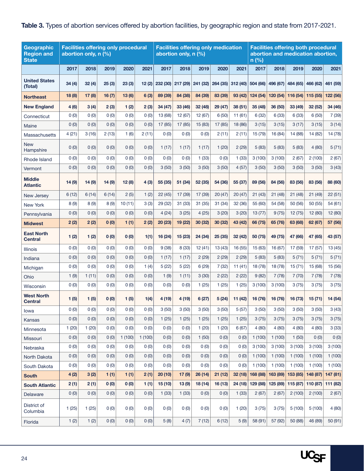#### <span id="page-23-0"></span>**Table 3.** Types of abortion services offered by abortion facilities, by geographic region and state from 2017-2021.

| Geographic<br><b>Region and</b><br><b>State</b> |        | <b>Facilities offering only procedural</b><br>abortion only, n (%) |        |        |        |         | <b>Facilities offering only medication</b><br>abortion only, n (%) |         |         |                   | <b>Facilities offering both procedural</b><br>abortion and medication abortion,<br>n(%) |          |                   |          |          |
|-------------------------------------------------|--------|--------------------------------------------------------------------|--------|--------|--------|---------|--------------------------------------------------------------------|---------|---------|-------------------|-----------------------------------------------------------------------------------------|----------|-------------------|----------|----------|
|                                                 | 2017   | 2018                                                               | 2019   | 2020   | 2021   | 2017    | 2018                                                               | 2019    | 2020    | 2021              | 2017                                                                                    | 2018     | 2019              | 2020     | 2021     |
| <b>United States</b><br>(Total)                 | 34(4)  | 32(4)                                                              | 25(3)  | 23(3)  | 12(2)  |         | 232 (30) 217 (29) 241 (32)                                         |         |         | 264 (35) 312 (40) | 504(66)                                                                                 |          | 496 (67) 484 (65) | 466 (62) | 461 (59) |
| <b>Northeast</b>                                | 18 (8) | 17(8)                                                              | 16(7)  | 13(6)  | 6(3)   | 89 (39) | 84 (38)                                                            | 84 (39) | 83 (39) | 93 (42)           | 124 (54)                                                                                |          | 120 (54) 116 (54) | 115 (55) | 122 (56) |
| <b>New England</b>                              | 4(6)   | 3(4)                                                               | 2(3)   | 1(2)   | 2(3)   | 34 (47) | 33 (46)                                                            | 32 (48) | 29 (47) | 38 (51)           | 35(48)                                                                                  | 36 (50)  | 33 (49)           | 32 (52)  | 34 (46)  |
| Connecticut                                     | 0(0)   | 0(0)                                                               | 0(0)   | 0(0)   | 0(0)   | 13 (68) | 12 (67)                                                            | 12 (67) | 6(50)   | 11(61)            | 6(32)                                                                                   | 6(33)    | 6(33)             | 6(50)    | 7(39)    |
| Maine                                           | 0(0)   | 0(0)                                                               | 0(0)   | 0(0)   | 0(0)   | 17 (85) | 17 (85)                                                            | 15 (83) | 17(85)  | 18 (86)           | 3(15)                                                                                   | 3(15)    | 3(17)             | 3(15)    | 3(14)    |
| <b>Massachusetts</b>                            | 4(21)  | 3(16)                                                              | 2(13)  | 1(6)   | 2(11)  | 0(0)    | 0(0)                                                               | 0(0)    | 2(11)   | 2(11)             | 15 (79)                                                                                 | 16 (84)  | 14 (88)           | 14 (82)  | 14 (78)  |
| <b>New</b><br>Hampshire                         | 0(0)   | 0(0)                                                               | 0(0)   | 0(0)   | 0(0)   | 1(17)   | 1(17)                                                              | 1(17)   | 1(20)   | 2(29)             | 5(83)                                                                                   | 5(83)    | 5(83)             | 4(80)    | 5(71)    |
| Rhode Island                                    | 0(0)   | 0(0)                                                               | 0(0)   | 0(0)   | 0(0)   | 0(0)    | 0(0)                                                               | 1(33)   | 0(0)    | 1(33)             | 3(100)                                                                                  | 3(100)   | 2(67)             | 2(100)   | 2(67)    |
| Vermont                                         | 0(0)   | 0(0)                                                               | 0(0)   | 0(0)   | 0(0)   | 3(50)   | 3(50)                                                              | 3(50)   | 3(50)   | 4(57)             | 3(50)                                                                                   | 3(50)    | 3(50)             | 3(50)    | 3(43)    |
| <b>Middle</b><br><b>Atlantic</b>                | 14(9)  | 14(9)                                                              | 14 (9) | 12(8)  | 4(3)   | 55(35)  | 51 (34)                                                            | 52 (35) | 54 (36) | 55 (37)           | 89 (56)                                                                                 | 84 (56)  | 83 (56)           | 83 (56)  | 88 (60)  |
| New Jersey                                      | 6(12)  | 6(14)                                                              | 6(14)  | 2(5)   | 1(2)   | 22(45)  | 17 (39)                                                            | 17 (39) | 20(47)  | 20(47)            | 21(43)                                                                                  | 21(48)   | 21(48)            | 21 (49)  | 22(51)   |
| New York                                        | 8(9)   | 8(9)                                                               | 8(9)   | 10(11) | 3(3)   | 29 (32) | 31 (33)                                                            | 31 (35) | 31(34)  | 32 (36)           | 55 (60)                                                                                 | 54 (58)  | 50 (56)           | 50 (55)  | 54 (61)  |
| Pennsylvania                                    | 0(0)   | 0(0)                                                               | 0(0)   | 0(0)   | 0(0)   | 4(24)   | 3(25)                                                              | 4(25)   | 3(20)   | 3(20)             | 13(77)                                                                                  | 9(75)    | 12(75)            | 12(80)   | 12 (80)  |
| <b>Midwest</b>                                  | 2(2)   | 2(2)                                                               | 0(0)   | 1(1)   | 2(2)   | 20(23)  | 19 (22)                                                            | 30 (32) | 30 (32) | 43 (42)           | 66 (75)                                                                                 | 65 (76)  | 63 (68)           | 62 (67)  | 57 (56)  |
| <b>East North</b><br><b>Central</b>             | 1(2)   | 1(2)                                                               | 0(0)   | 0(0)   | 1(1)   | 16 (24) | 15 (23)                                                            | 24 (34) | 25(35)  | 32 (42)           | 50 (75)                                                                                 | 49 (75)  | 47 (66)           | 47 (65)  | 43 (57)  |
| <b>Illinois</b>                                 | 0(0)   | 0(0)                                                               | 0(0)   | 0(0)   | 0(0)   | 9(38)   | 8 (33)                                                             | 12(41)  | 13(43)  | 16 (55)           | 15 (63)                                                                                 | 16 (67)  | 17 (59)           | 17(57)   | 13 (45)  |
| Indiana                                         | 0(0)   | 0(0)                                                               | 0(0)   | 0(0)   | 0(0)   | 1(17)   | 1(17)                                                              | 2(29)   | 2(29)   | 2(29)             | 5(83)                                                                                   | 5(83)    | 5(71)             | 5(71)    | 5(71)    |
| Michigan                                        | 0(0)   | 0(0)                                                               | 0(0)   | 0(0)   | 1(4)   | 5(22)   | 5(22)                                                              | 6(29)   | 7(32)   | 11(41)            | 18 (78)                                                                                 | 18 (78)  | 15(71)            | 15 (68)  | 15 (56)  |
| Ohio                                            | 1(9)   | 1(11)                                                              | 0(0)   | 0(0)   | 0(0)   | 1(9)    | 1(11)                                                              | 3(30)   | 2(22)   | 2(22)             | 9(82)                                                                                   | 7(78)    | 7(70)             | 7 (78)   | 7(78)    |
| Wisconsin                                       | 0(0)   | 0(0)                                                               | 0(0)   | 0(0)   | 0(0)   | 0(0)    | 0(0)                                                               | 1(25)   | 1(25)   | 1(25)             | 3(100)                                                                                  | 3(100)   | 3(75)             | 3(75)    | 3(75)    |
| <b>West North</b><br><b>Central</b>             | 1(5)   | 1(5)                                                               | 0(0)   | 1(5)   | 1(4)   | 4(19)   | 4 (19)                                                             | 6(27)   | 5(24)   | 11 (42)           | 16 (76)                                                                                 | 16 (76)  | 16 (73)           | 15 (71)  | 14 (54)  |
| lowa                                            | 0(0)   | 0(0)                                                               | 0(0)   | 0(0)   | 0(0)   | 3(50)   | 3(50)                                                              | 3(50)   | 3(50)   | 5(57)             | 3(50)                                                                                   | 3(50)    | 3(50)             | 3(50)    | 3(43)    |
| Kansas                                          | 0(0)   | 0(0)                                                               | 0(0)   | 0(0)   | 0(0)   | 1(25)   | 1(25)                                                              | 1(25)   | 1(25)   | 1(25)             | 3(75)                                                                                   | 3(75)    | 3(75)             | 3(75)    | 3(75)    |
| Minnesota                                       | 1(20)  | 1(20)                                                              | 0(0)   | 0(0)   | 0(0)   | 0(0)    | 0(0)                                                               | 1(20)   | 1(20)   | 6(67)             | 4(80)                                                                                   | 4(80)    | 4(80)             | 4(80)    | 3(33)    |
| Missouri                                        | 0(0)   | 0(0)                                                               | 0(0)   | 1(100) | 1(100) | 0(0)    | 0(0)                                                               | 1(50)   | 0(0)    | 0(0)              | 1(100)                                                                                  | 1(100)   | 1(50)             | 0(0)     | 0(0)     |
| Nebraska                                        | 0(0)   | 0(0)                                                               | 0(0)   | 0(0)   | 0(0)   | 0(0)    | 0(0)                                                               | 0(0)    | (0)     | 0(0)              | 3(100)                                                                                  | 3(100)   | 3(100)            | 3(100)   | 3(100)   |
| North Dakota                                    | 0(0)   | 0(0)                                                               | 0(0)   | 0(0)   | 0(0)   | 0(0)    | 0(0)                                                               | 0(0)    | 0(0)    | 0(0)              | 1(100)                                                                                  | 1(100)   | 1(100)            | 1(100)   | 1(100)   |
| South Dakota                                    | 0(0)   | 0(0)                                                               | 0(0)   | 0(0)   | 0(0)   | 0(0)    | 0(0)                                                               | 0(0)    | 0(0)    | 0(0)              | 1(100)                                                                                  | 1(100)   | 1(100)            | 1(100)   | 1(100)   |
| <b>South</b>                                    | 4 (2)  | 3 (2)                                                              | 1(1)   | 1(1)   | 2(1)   | 20(10)  | 17(9)                                                              | 26(14)  | 21(12)  | 32(18)            | 168 (88)                                                                                | 163(89)  | 153 (85)          | 148 (87) | 147 (81) |
| <b>South Atlantic</b>                           | 2(1)   | 2(1)                                                               | 0(0)   | 0(0)   | 1(1)   | 15(10)  | 13(9)                                                              | 18 (14) | 16(13)  | 24(18)            | 129 (88)                                                                                | 125 (89) | 115 (87)          | 110 (87) | 111 (82) |
| Delaware                                        | 0(0)   | 0(0)                                                               | 0(0)   | 0(0)   | 0(0)   | 1(33)   | 1(33)                                                              | 0(0)    | 0(0)    | 1(33)             | 2(67)                                                                                   | 2(67)    | 2(100)            | 2(100)   | 2(67)    |
| District of<br>Columbia                         | 1(25)  | 1(25)                                                              | 0(0)   | 0(0)   | 0(0)   | 0(0)    | 0(0)                                                               | 0(0)    | 0(0)    | 1(20)             | 3(75)                                                                                   | 3(75)    | 5(100)            | 5(100)   | 4(80)    |
| Florida                                         | 1(2)   | 1(2)                                                               | 0(0)   | 0(0)   | 0(0)   | 5(8)    | 4(7)                                                               | 7(12)   | 6(12)   | 5(9)              | 58 (91)                                                                                 | 57 (92)  | 50 (88)           | 46 (89)  | 50 (91)  |

UC<sub>SF</sub>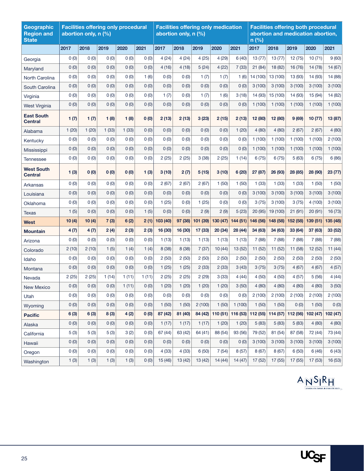| Geographic<br><b>Region and</b><br><b>State</b> |          | abortion only, n (%) | <b>Facilities offering only procedural</b> |       |       |          | <b>Facilities offering only medication</b><br>abortion only, n (%) |          |          |          | <b>Facilities offering both procedural</b><br>abortion and medication abortion,<br>n(%) |                                              |          |          |          |  |
|-------------------------------------------------|----------|----------------------|--------------------------------------------|-------|-------|----------|--------------------------------------------------------------------|----------|----------|----------|-----------------------------------------------------------------------------------------|----------------------------------------------|----------|----------|----------|--|
|                                                 | 2017     | 2018                 | 2019                                       | 2020  | 2021  | 2017     | 2018                                                               | 2019     | 2020     | 2021     | 2017                                                                                    | 2018                                         | 2019     | 2020     | 2021     |  |
| Georgia                                         | 0(0)     | 0(0)                 | 0(0)                                       | 0(0)  | 0(0)  | 4(24)    | 4(24)                                                              | 4(25)    | 4(29)    | 6(40)    | 13(77)                                                                                  | 13(77)                                       | 12(75)   | 10(71)   | 9(60)    |  |
| Maryland                                        | 0(0)     | 0(0)                 | 0(0)                                       | 0(0)  | 0(0)  | 4(16)    | 4(18)                                                              | 5(24)    | 4(22)    | 7(33)    | 21(84)                                                                                  | 18 (82)                                      | 16 (76)  | 14 (78)  | 14 (67)  |  |
| North Carolina                                  | 0(0)     | 0(0)                 | 0(0)                                       | 0(0)  | 1(6)  | 0(0)     | 0(0)                                                               | 1(7)     | 1(7)     | 1(6)     | 14 (100)                                                                                | 13 (100)                                     | 13 (93)  | 14 (93)  | 14 (88)  |  |
| South Carolina                                  | 0(0)     | 0(0)                 | 0(0)                                       | 0(0)  | 0(0)  | 0(0)     | 0(0)                                                               | 0(0)     | 0(0)     | 0(0)     | 3(100)                                                                                  | 3(100)                                       | 3(100)   | 3(100)   | 3(100)   |  |
| Virginia                                        | 0(0)     | 0(0)                 | 0(0)                                       | 0(0)  | 0(0)  | 1(7)     | 0(0)                                                               | 1(7)     | 1(6)     | 3(18)    | 14 (93)                                                                                 | 15 (100)                                     | 14 (93)  | 15 (94)  | 14 (82)  |  |
| <b>West Virginia</b>                            | 0(0)     | 0(0)                 | 0(0)                                       | 0(0)  | 0(0)  | 0(0)     | 0(0)                                                               | 0(0)     | 0(0)     | 0(0)     | 1(100)                                                                                  | 1(100)                                       | 1(100)   | 1(100)   | 1(100)   |  |
| <b>East South</b><br><b>Central</b>             | 1(7)     | 1(7)                 | 1(8)                                       | 1(8)  | 0(0)  | 2(13)    | 2(13)                                                              | 3(23)    | 2(15)    | 2(13)    | 12 (80)                                                                                 | 12 (80)                                      | 9(69)    | 10 (77)  | 13 (87)  |  |
| Alabama                                         | 1(20)    | 1(20)                | 1(33)                                      | 1(33) | 0(0)  | 0(0)     | 0(0)                                                               | 0(0)     | 0(0)     | 1(20)    | 4(80)                                                                                   | 4(80)                                        | 2(67)    | 2(67)    | 4(80)    |  |
| Kentucky                                        | 0(0)     | 0(0)                 | 0(0)                                       | 0(0)  | 0(0)  | 0(0)     | 0(0)                                                               | 0(0)     | 0(0)     | 0(0)     | 1(100)                                                                                  | 1(100)                                       | 1(100)   | 1(100)   | 2(100)   |  |
| Mississippi                                     | 0(0)     | 0(0)                 | 0(0)                                       | 0(0)  | 0(0)  | 0(0)     | 0(0)                                                               | 0(0)     | 0(0)     | 0(0)     | 1(100)                                                                                  | 1(100)                                       | 1(100)   | 1(100)   | 1(100)   |  |
| <b>Tennessee</b>                                | 0(0)     | 0(0)                 | 0(0)                                       | 0(0)  | 0(0)  | 2(25)    | 2(25)                                                              | 3(38)    | 2(25)    | 1(14)    | 6(75)                                                                                   | 6(75)                                        | 5(63)    | 6(75)    | 6(86)    |  |
| <b>West South</b><br><b>Central</b>             | 1(3)     | 0(0)                 | 0(0)                                       | 0(0)  | 1(3)  | 3(10)    | 2(7)                                                               | 5(15)    | 3(10)    | 6(20)    | 27 (87)                                                                                 | 26 (93)                                      | 28 (85)  | 28 (90)  | 23 (77)  |  |
| Arkansas                                        | 0(0)     | 0(0)                 | 0(0)                                       | 0(0)  | 0(0)  | 2(67)    | 2(67)                                                              | 2(67)    | 1(50)    | 1(50)    | 1(33)                                                                                   | 1(33)                                        | 1(33)    | 1(50)    | 1(50)    |  |
| Louisiana                                       | 0(0)     | 0(0)                 | 0(0)                                       | 0(0)  | 0(0)  | 0(0)     | 0(0)                                                               | 0(0)     | 0(0)     | 0(0)     | 3(100)                                                                                  | 3(100)                                       | 3(100)   | 3(100)   | 3(100)   |  |
| Oklahoma                                        | 0(0)     | 0(0)                 | 0(0)                                       | 0(0)  | 0(0)  | 1(25)    | 0(0)                                                               | 1(25)    | 0(0)     | 0(0)     | 3(75)                                                                                   | 3(100)                                       | 3(75)    | 4(100)   | 3(100)   |  |
| Texas                                           | 1(5)     | 0(0)                 | 0(0)                                       | 0(0)  | 1(5)  | 0(0)     | 0(0)                                                               | 2(9)     | 2(9)     | 5(23)    | 20 (95)                                                                                 | 19 (100)                                     | 21(91)   | 20 (91)  | 16 (73)  |  |
| <b>West</b>                                     | 10(4)    | 10(4)                | 7(3)                                       | 6(2)  | 2(1)  | 103 (40) | 97 (38)                                                            | 101 (39) | 130 (47) | 144 (51) | 146 (56)                                                                                | 148 (58)                                     | 152 (58) | 139 (51) | 135 (48) |  |
| <b>Mountain</b>                                 | 4(7)     | 4(7)                 | 2(4)                                       | 2(3)  | 2(3)  | 16 (30)  | 16 (30)                                                            | 17 (33)  | 20 (34)  | 28 (44)  | 34 (63)                                                                                 | 34 (63)                                      | 33 (64)  | 37 (63)  | 33 (52)  |  |
| Arizona                                         | 0(0)     | 0(0)                 | 0(0)                                       | 0(0)  | 0(0)  | 1(13)    | 1(13)                                                              | 1(13)    | 1(13)    | 1(13)    | 7(88)                                                                                   | 7(88)                                        | 7(88)    | 7(88)    | 7(88)    |  |
| Colorado                                        | 2(10)    | 2(10)                | 1(5)                                       | 1(4)  | 1(4)  | 8 (38)   | 8 (38)                                                             | 7(37)    | 10(44)   | 13 (52)  | 11 (52)                                                                                 | 11 (52)                                      | 11 (58)  | 12 (52)  | 11(44)   |  |
| Idaho                                           | 0(0)     | 0(0)                 | 0(0)                                       | 0(0)  | 0(0)  | 2(50)    | 2(50)                                                              | 2(50)    | 2(50)    | 2(50)    | 2(50)                                                                                   | 2(50)                                        | 2(50)    | 2(50)    | 2(50)    |  |
| Montana                                         | 0(0)     | 0(0)                 | 0(0)                                       | 0(0)  | 0(0)  | 1(25)    | 1(25)                                                              | 2(33)    | 2(33)    | 3(43)    | 3(75)                                                                                   | 3(75)                                        | 4(67)    | 4(67)    | 4(57)    |  |
| Nevada                                          | 2(25)    | 2(25)                | 1(14)                                      | 1(11) | 1(11) | 2(25)    | 2(25)                                                              | 2(29)    | 3(33)    | 4(44)    | 4(50)                                                                                   | 4(50)                                        | 4(57)    | 5(56)    | 4(44)    |  |
| New Mexico                                      | $0\ (0)$ | (0)                  | $0\ (0)$                                   | 1(11) | 0(0)  | 1(20)    | 1(20)                                                              | 1(20)    | 1(20)    | 3(50)    | 4(80)                                                                                   | 4(80)                                        | 4(80)    | 4(80)    | 3(50)    |  |
| Utah                                            | 0(0)     | 0(0)                 | 0(0)                                       | 0(0)  | 0(0)  | 0(0)     | 0(0)                                                               | 0(0)     | 0(0)     | 0(0)     | 2(100)                                                                                  | 2(100)                                       | 2(100)   | 2(100)   | 2(100)   |  |
| Wyoming                                         | 0(0)     | 0(0)                 | 0(0)                                       | 0(0)  | 0(0)  | 1(50)    | 1(50)                                                              | 2(100)   | 1(50)    | 1(100)   | 1(50)                                                                                   | 1(50)                                        | 0(0)     | 1(50)    | 0(0)     |  |
| <b>Pacific</b>                                  | 6(3)     | 6(3)                 | 8(3)                                       | 4(2)  | 0(0)  | 87 (42)  | 81 (40)                                                            | 84 (42)  |          |          |                                                                                         | 110 (51) 116 (53) 112 (55) 114 (57) 112 (56) |          | 102(47)  | 102 (47) |  |
| Alaska                                          | 0(0)     | 0(0)                 | 0(0)                                       | 0(0)  | 0(0)  | 1(17)    | 1(17)                                                              | 1(17)    | 1(20)    | 1(20)    | 5(83)                                                                                   | 5(83)                                        | 5(83)    | 4(80)    | 4(80)    |  |
| California                                      | 5(3)     | 5(3)                 | 5(3)                                       | 3(2)  | 0(0)  | 67 (44)  | 63 (42)                                                            | 64 (41)  | 88 (54)  | 93 (56)  | 79 (52)                                                                                 | 81 (54)                                      | 87 (58)  | 72 (44)  | 73 (44)  |  |
| Hawaii                                          | 0(0)     | 0(0)                 | 0(0)                                       | 0(0)  | 0(0)  | 0(0)     | 0(0)                                                               | 0(0)     | 0(0)     | 0(0)     | 3(100)                                                                                  | 3(100)                                       | 3(100)   | 3(100)   | 3(100)   |  |
| Oregon                                          | 0(0)     | 0(0)                 | 0(0)                                       | 0(0)  | 0(0)  | 4(33)    | 4(33)                                                              | 6(50)    | 7(54)    | 8(57)    | 8(67)                                                                                   | 8(67)                                        | 6(50)    | 6(46)    | 6(43)    |  |
| Washington                                      | 1(3)     | 1(3)                 | 1(3)                                       | 1(3)  | 0(0)  | 15 (46)  | 13 (42)                                                            | 13 (42)  | 14(44)   | 14(47)   | 17 (52)                                                                                 | 17 (55)                                      | 17 (55)  | 17 (53)  | 16 (53)  |  |

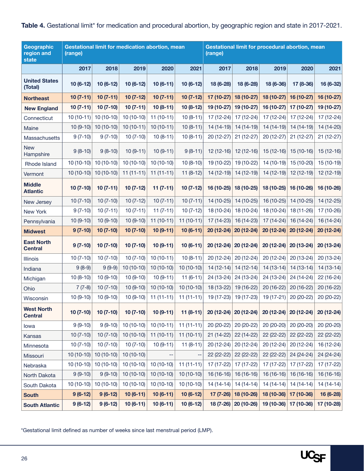<span id="page-25-0"></span>Table 4. Gestational limit<sup>\*</sup> for medication and procedural abortion, by geographic region and state in 2017-2021.

| Geographic<br>region and<br>state   | (range)     |             | Gestational limit for medication abortion, mean |             |             | (range)     |             | Gestational limit for procedural abortion, mean |                        |             |
|-------------------------------------|-------------|-------------|-------------------------------------------------|-------------|-------------|-------------|-------------|-------------------------------------------------|------------------------|-------------|
|                                     | 2017        | 2018        | 2019                                            | 2020        | 2021        | 2017        | 2018        | 2019                                            | 2020                   | 2021        |
| <b>United States</b><br>(Total)     | $10(6-12)$  | $10(6-12)$  | $10(6-12)$                                      | $10(6-11)$  | 10 (6-12)   | 18 (6-28)   | 18 (6-28)   | 18 (6-36)                                       | 17 (8-36)              | 16 (6-32)   |
| <b>Northeast</b>                    | $10(7-11)$  | $10(7-11)$  | $10(7-12)$                                      | $10(7-11)$  | $10(7-12)$  | 17 (10-27)  | 18 (10-27)  | 18 (10-27)                                      | 16 (10-27)             | 16 (10-27)  |
| <b>New England</b>                  | $10(7-11)$  | $10(7-10)$  | $10(7-11)$                                      | $10(8-11)$  | 10 (8-12)   | 19 (10-27)  | 19 (10-27)  | 16 $(10-27)$                                    | 17 (10-27)             | 19 (10-27)  |
| Connecticut                         | $10(10-11)$ | $10(10-10)$ | $10(10-10)$                                     | $11(10-11)$ | $10(8-11)$  | 17 (12-24)  | 17 (12-24)  | 17 (12-24)                                      | 17 (12-24)             | 17 (12-24)  |
| Maine                               | $10(9-10)$  | $10(10-10)$ | $10(10-11)$                                     | $10(10-11)$ | $10(8-11)$  | 14 (14-19)  | 14 (14-19)  | 14 (14-19)                                      | 14 (14-19)             | 14 (14-20)  |
| Massachusetts                       | $9(7-10)$   | $9(7-10)$   | $10(7-10)$                                      | $10(8-11)$  | $10(8-11)$  | $20(12-27)$ | $21(12-27)$ | 20 (12-27)                                      | $21(12-27)$            | $21(12-27)$ |
| <b>New</b><br>Hampshire             | $9(8-10)$   | $9(8-10)$   | $10(9-11)$                                      | $10(9-11)$  | $9(8-11)$   | $12(12-16)$ | $12(12-16)$ | $15(12-16)$                                     | $15(10-16)$            | $15(12-16)$ |
| Rhode Island                        | $10(10-10)$ | $10(10-10)$ | $10(10-10)$                                     | $10(10-10)$ | $10(8-10)$  | 19 (10-22)  | 19 (10-22)  | $14(10-19)$                                     | 15 (10-20)             | 15 (10-19)  |
| Vermont                             | $10(10-10)$ | $10(10-10)$ | $11(11-11)$                                     | $11(11-11)$ | $11(8-12)$  | 14 (12-19)  | 14 (12-19)  | $14(12-19)$                                     | 12 (12-19)             | $12(12-19)$ |
| <b>Middle</b><br><b>Atlantic</b>    | $10(7-10)$  | $10(7-11)$  | $10(7-12)$                                      | $11(7-11)$  | $10(7-12)$  | 16 (10-25)  | 18 (10-25)  | 18 (10-25)                                      | 16 (10-26)             | 16 (10-26)  |
| New Jersey                          | $10(7-10)$  | $10(7-10)$  | $10(7-12)$                                      | $10(7-11)$  | $10(7-11)$  | 14 (10-25)  | 14 (10-25)  | 16 (10-25)                                      | 14 (10-25)             | 14 (12-25)  |
| New York                            | $9(7-10)$   | $10(7-11)$  | $10(7-11)$                                      | $11(7-11)$  | $10(7-12)$  | 18 (10-24)  | 18 (10-24)  | $18(10-24)$                                     | 18 (11-26)             | 17 (10-26)  |
| Pennsylvania                        | $10(9-10)$  | $10(9-10)$  | $10(9-10)$                                      | $11(10-11)$ | $11(10-11)$ | 17 (14-23)  | 16 (14-23)  | $17(14-24)$                                     | 16 (14-24)             | 16 (14-24)  |
| <b>Midwest</b>                      | $9(7-10)$   | $10(7-10)$  | $10(7-10)$                                      | $10(9-11)$  | $10(6-11)$  | $20(12-24)$ | 20 (12-24)  | $20(12-24)$                                     | 20 (12-24)             | 20 (12-24)  |
| <b>East North</b><br><b>Central</b> | $9(7-10)$   | $10(7-10)$  | $10(7-10)$                                      | $10(9-11)$  | $10(6-11)$  | $20(12-24)$ | $20(12-24)$ | $20(12-24)$                                     | 20 (13-24)             | 20 (13-24)  |
| Illinois                            | $10(7-10)$  | $10(7-10)$  | $10(7-10)$                                      | $10(10-11)$ | $10(8-11)$  | $20(12-24)$ | 20 (12-24)  | $20(12-24)$                                     | 20 (13-24)             | $20(13-24)$ |
| Indiana                             | $9(8-9)$    | $9(9-9)$    | 10 (10-10)                                      | $10(10-10)$ | $10(10-10)$ | $14(12-14)$ | $14(12-14)$ | $14(13-14)$                                     | $14(13-14)$            | $14(13-14)$ |
| Michigan                            | $10(8-10)$  | $10(9-10)$  | $10(9-10)$                                      | $10(9-11)$  | $11(6-11)$  | 24 (13-24)  | 24 (13-24)  | 24 (13-24)                                      | 24 (14-24)             | 22 (16-24)  |
| Ohio                                | $7(7-8)$    | $10(7-10)$  | $10(9-10)$                                      | $10(10-10)$ | $10(10-10)$ | 18 (13-22)  | 19 (16-22)  | 20 (16-22)                                      | $20(16-22)$            | $20(16-22)$ |
| Wisconsin                           | $10(9-10)$  | $10(9-10)$  | $10(9-10)$                                      | $11(11-11)$ | $11(11-11)$ | 19 (17-23)  | 19 (17-23)  | 19 (17-21)                                      | 20 (20-22)             | 20 (20-22)  |
| <b>West North</b><br><b>Central</b> | $10(7-10)$  | $10(7-10)$  | $10(7-10)$                                      | $10(9-11)$  | $11(8-11)$  | 20 (12-24)  | $20(12-24)$ |                                                 | $20(12-24)$ 20 (12-24) | 20 (12-24)  |
| lowa                                | $9(9-10)$   | $9(9-10)$   | $10(10-10)$                                     | $10(10-11)$ | $11(11-11)$ | 20 (20-22)  | 20 (20-22)  | $20(20-20)$                                     | 20 (20-20)             | 20 (20-20)  |
| Kansas                              | $10(7-10)$  | $10(7-10)$  | $10(10-10)$                                     | $11(10-11)$ | $11(10-11)$ | $21(14-22)$ | 22 (14-22)  | 22 (22-22)                                      | 22 (22-22)             | 22 (22-22)  |
| Minnesota                           | $10(7-10)$  | $10(7-10)$  | $10(7-10)$                                      | $10(9-11)$  | $11(8-11)$  | 20 (12-24)  | $20(12-24)$ | $20(12-24)$                                     | 20 (12-24)             | 16 (12-24)  |
| Missouri                            | $10(10-10)$ | $10(10-10)$ | $10(10-10)$                                     |             | --          | 22 (22-22)  | 22 (22-22)  | $22(22-22)$                                     | 24 (24-24)             | 24 (24-24)  |
| Nebraska                            | $10(10-10)$ | $10(10-10)$ | $10(10-10)$                                     | $10(10-10)$ | $11(11-11)$ | 17 (17-22)  | 17 (17-22)  | 17 (17-22)                                      | 17 (17-22)             | 17 (17-22)  |
| North Dakota                        | $9(9-10)$   | $9(9-10)$   | $10(10-10)$                                     | $10(10-10)$ | $10(10-10)$ | 16 (16-16)  | 16 (16-16)  | $16(16-16)$                                     | $16(16-16)$            | 16 (16-16)  |
| South Dakota                        | $10(10-10)$ | $10(10-10)$ | $10(10-10)$                                     | $10(10-10)$ | $10(10-10)$ | $14(14-14)$ | $14(14-14)$ | $14(14-14)$                                     | $14(14-14)$            | 14 (14-14)  |
| <b>South</b>                        | $9(6-12)$   | $9(6-12)$   | $10(6-11)$                                      | $10(6-11)$  | $10(6-12)$  | $17(7-26)$  | 18 (10-26)  | 18 $(10-36)$                                    | 17 (10-36)             | 16 (6-28)   |
| <b>South Atlantic</b>               | $9(6-12)$   | $9(6-12)$   | $10(6-11)$                                      | $10(6-11)$  | $10(6-12)$  | $18(7-26)$  | 20 (10-26)  |                                                 | 19 (10-36) 17 (10-36)  | 17 (10-28)  |

\*Gestational limit defined as number of weeks since last menstrual period (LMP).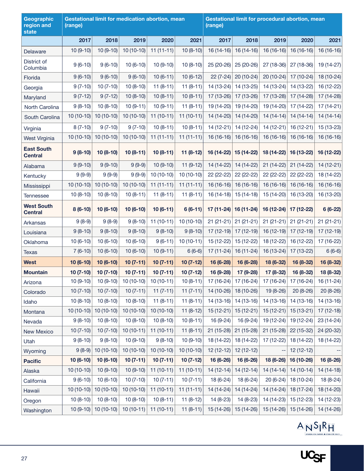| Geographic<br>region and<br>state   | (range)     |             | Gestational limit for medication abortion, mean |             |             | Gestational limit for procedural abortion, mean<br>(range) |             |             |             |             |  |  |
|-------------------------------------|-------------|-------------|-------------------------------------------------|-------------|-------------|------------------------------------------------------------|-------------|-------------|-------------|-------------|--|--|
|                                     | 2017        | 2018        | 2019                                            | 2020        | 2021        | 2017                                                       | 2018        | 2019        | 2020        | 2021        |  |  |
| Delaware                            | $10(9-10)$  | $10(9-10)$  | $10(10-10)$                                     | $11(11-11)$ | $10(8-10)$  | 16 (14-16)                                                 | $16(14-16)$ | 16 (16-16)  | 16 (16-16)  | 16 (16-16)  |  |  |
| District of<br>Columbia             | $9(6-10)$   | $9(6-10)$   | $10(6-10)$                                      | $10(9-10)$  | $10(8-10)$  | 25 (20-26)                                                 | 25 (20-26)  | 27 (18-36)  | 27 (18-36)  | 19 (14-27)  |  |  |
| Florida                             | $9(6-10)$   | $9(6-10)$   | $9(6-10)$                                       | $10(6-11)$  | $10(6-12)$  | $22(7-24)$                                                 | 20 (10-24)  | 20 (10-24)  | 17 (10-24)  | 18 (10-24)  |  |  |
| Georgia                             | $9(7-10)$   | $10(7-10)$  | $10(8-10)$                                      | $11(8-11)$  | $11(8-11)$  | 14 (13-24)                                                 | 14 (13-25)  | 14 (13-24)  | 14 (13-22)  | 16 (12-22)  |  |  |
| Maryland                            | $9(7-12)$   | $9(7-12)$   | $10(8-10)$                                      | $10(8-11)$  | $10(8-11)$  | 17 (13-26)                                                 | 17 (13-26)  | 17 (13-28)  | 17 (14-28)  | 17 (14-28)  |  |  |
| North Carolina                      | $9(8-10)$   | $10(8-10)$  | $10(9-11)$                                      | $10(9-11)$  | $11(8-11)$  | 19 (14-20)                                                 | 19 (14-20)  | 19 (14-20)  | 17 (14-22)  | $17(14-21)$ |  |  |
| South Carolina                      | $10(10-10)$ | $10(10-10)$ | $10(10-10)$                                     | $11(10-11)$ | $11(10-11)$ | 14 (14-20)                                                 | 14 (14-20)  | $14(14-14)$ | $14(14-14)$ | $14(14-14)$ |  |  |
| Virginia                            | $8(7-10)$   | $9(7-10)$   | $9(7-10)$                                       | $10(8-11)$  | $10(8-11)$  | 14 (12-21)                                                 | 14 (12-24)  | $14(12-21)$ | 16 (12-21)  | 15 (13-23)  |  |  |
| West Virginia                       | $10(10-10)$ | $10(10-10)$ | $10(10-10)$                                     | $11(11-11)$ | $11(11-11)$ | 16 (16-16)                                                 | 16 (16-16)  | $16(16-16)$ | 16 (16-16)  | 16 (16-16)  |  |  |
| <b>East South</b><br><b>Central</b> | $9(8-10)$   | $10(8-10)$  | $10(8-11)$                                      | $10(8-11)$  | 11 (8-12)   | 16 (14-22)                                                 | 15 (14-22)  | 18 (14-22)  | 16 (13-22)  | 16 (12-22)  |  |  |
| Alabama                             | $9(9-10)$   | $9(9-10)$   | $9(9-9)$                                        | $10(9-10)$  | $11(9-12)$  | 14 (14-22)                                                 | 14 (14-22)  | $21(14-22)$ | 21 (14-22)  | 14 (12-21)  |  |  |
| Kentucky                            | $9(9-9)$    | $9(9-9)$    | $9(9-9)$                                        | $10(10-10)$ | $10(10-10)$ | 22 (22-22)                                                 | 22 (22-22)  | 22 (22-22)  | 22 (22-22)  | 18 (14-22)  |  |  |
| Mississippi                         | $10(10-10)$ | $10(10-10)$ | $10(10-10)$                                     | $11(11-11)$ | $11(11-11)$ | 16 (16-16)                                                 | $16(16-16)$ | 16 (16-16)  | 16 (16-16)  | $16(16-16)$ |  |  |
| Tennessee                           | $10(8-10)$  | $10(8-10)$  | $10(8-11)$                                      | $11(8-11)$  | $11(8-11)$  | 16 (14-18)                                                 | $15(14-18)$ | 15 (14-20)  | 16 (13-20)  | 16 (13-20)  |  |  |
| <b>West South</b><br><b>Central</b> | $8(6-10)$   | 10 (6-10)   | 10 (6-10)                                       | $10(6-11)$  | $6(6-11)$   | 17 (11-24)                                                 | $16(11-24)$ | 16 (12-24)  | 17 (12-22)  | $6(6-22)$   |  |  |
| Arkansas                            | $9(8-9)$    | $9(8-9)$    | $9(8-10)$                                       | $11(10-11)$ | $10(10-10)$ | $21(21-21)$                                                | $21(21-21)$ | $21(21-21)$ | $21(21-21)$ | $21(21-21)$ |  |  |
| Louisiana                           | $9(8-10)$   | $9(8-10)$   | $9(8-10)$                                       | $9(8-10)$   | $9(8-10)$   | $17(12-19)$                                                | 17 (12-19)  | 16 (12-19)  | 17 (12-19)  | 17 (12-19)  |  |  |
| Oklahoma                            | $10(6-10)$  | $10(6-10)$  | $10(6-10)$                                      | $9(6-11)$   | $10(10-11)$ | 15 (12-22)                                                 | 15 (12-22)  | 18 (12-22)  | 16 (12-22)  | 17 (16-22)  |  |  |
| <b>Texas</b>                        | $7(6-10)$   | $10(6-10)$  | $10(6-10)$                                      | $10(9-11)$  | $6(6-6)$    | 17 (11-24)                                                 | 16 (11-24)  | 16 (13-24)  | 17 (13-22)  | $6(6-6)$    |  |  |
| <b>West</b>                         | 10 (6-10)   | 10 (6-10)   | $10(7-11)$                                      | $10(7-11)$  | $10(7-12)$  | 16 (6-28)                                                  | 16 (6-28)   | 18 (6-32)   | 16 (8-32)   | 16 (8-32)   |  |  |
| <b>Mountain</b>                     | $10(7-10)$  | $10(7-10)$  | $10(7-11)$                                      | $10(7-11)$  | $10(7-12)$  | 16 (9-28)                                                  | 17 (9-28)   | 17 (8-32)   | 16 (8-32)   | 18 (8-32)   |  |  |
| Arizona                             | $10(9-10)$  | $10(9-10)$  | $10(10-10)$                                     | $10(10-11)$ | $10(8-11)$  | 17 (16-24)                                                 | 17 (16-24)  | 17 (16-24)  | 17 (16-24)  | 16 (11-24)  |  |  |
| Colorado                            | $10(7-10)$  | $10(7-10)$  | $10(7-11)$                                      | $11(7-11)$  | $11(7-11)$  | 14 (10-26)                                                 | 18 (10-26)  | 19 (8-26)   | $20(8-26)$  | 20 (8-26)   |  |  |
| Idaho                               | $10(8-10)$  | $10(8-10)$  | $10(8-10)$                                      | $11(8-11)$  | $11(8-11)$  | 14 (13-16)                                                 | 14 (13-16)  | $14(13-16)$ | 14 (13-16)  | $14(13-16)$ |  |  |
| Montana                             | $10(10-10)$ | $10(10-10)$ | $10(10-10)$                                     | $10(10-10)$ | $11(8-12)$  | $15(12-21)$                                                | $15(12-21)$ | $15(12-21)$ | $15(13-21)$ | $17(12-18)$ |  |  |
| Nevada                              | $9(8-10)$   | $10(8-10)$  | $10(8-10)$                                      | $10(8-10)$  | $10(8-11)$  | 16 (9-24)                                                  | 16 (9-24)   | 19 (12-24)  | 19 (12-24)  | 23 (14-24)  |  |  |
| New Mexico                          | $10(7-10)$  | $10(7-10)$  | $10(10-11)$                                     | $11(10-11)$ | $11(8-11)$  | $21(15-28)$                                                | $21(15-28)$ | $21(15-28)$ | 22 (15-32)  | 24 (20-32)  |  |  |
| Utah                                | $9(8-10)$   | $9(8-10)$   | $10(9-10)$                                      | $9(8-10)$   | $10(9-10)$  | 18 (14-22)                                                 | 18 (14-22)  | 17 (12-22)  | 18 (14-22)  | 18 (14-22)  |  |  |
| Wyoming                             | $9(8-9)$    | $10(10-10)$ | $10(10-10)$                                     | $10(10-10)$ | $10(10-10)$ | $12(12-12)$                                                | $12(12-12)$ |             | $12(12-12)$ |             |  |  |
| <b>Pacific</b>                      | 10 (6-10)   | $10(6-10)$  | $10(7-11)$                                      | $10(7-11)$  | $10(7-12)$  | 16 (6-26)                                                  | 16 (6-26)   | $18(6-26)$  | 16 (10-26)  | 16 (8-26)   |  |  |
| Alaska                              | $10(10-10)$ | $10(9-10)$  | $10(9-10)$                                      | $11(10-11)$ | $11(10-11)$ | $14(12-14)$                                                | $14(12-14)$ | $14(14-14)$ | $14(10-14)$ | $14(14-18)$ |  |  |
| California                          | $9(6-10)$   | $10(6-10)$  | $10(7-10)$                                      | $10(7-11)$  | $10(7-11)$  | 18 (6-24)                                                  | 18 (6-24)   | $20(6-24)$  | 18 (10-24)  | 18 (8-24)   |  |  |
| Hawaii                              | $10(10-10)$ | $10(10-10)$ | $10(10-10)$                                     | $11(10-11)$ | $11(11-11)$ | 14 (14-24)                                                 | $14(14-24)$ | 14 (14-24)  | 18 (17-24)  | 18 (14-20)  |  |  |
| Oregon                              | $10(8-10)$  | $10(8-10)$  | $10(8-10)$                                      | $10(8-11)$  | $11(8-12)$  | 14 (8-23)                                                  | 14 (8-23)   | 14 (14-23)  | 15 (12-23)  | 14 (12-23)  |  |  |
| Washington                          | $10(9-10)$  | $10(10-10)$ | $10(10-11)$                                     | $11(10-11)$ | $11(8-11)$  | 15 (14-26)                                                 | 15 (14-26)  | 15 (14-26)  | 15 (14-26)  | 14 (14-26)  |  |  |

 $\frac{\mathbf{A}\mathbf{N}^{\mathbf{S}}\mathbf{R}}{N}\mathbf{A}^{\mathbf{S}}$ 

UC<sub>SF</sub>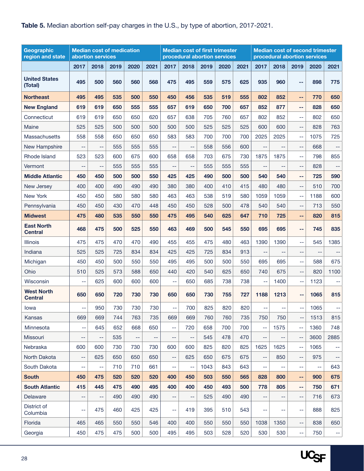#### <span id="page-27-0"></span>**Table 5.** Median abortion self-pay charges in the U.S., by type of abortion, 2017-2021.

| Geographic<br>region and state      |      | abortion services | <b>Median cost of medication</b> |      |      |      |                          |      | <b>Median cost of first trimester</b><br>procedural abortion services |      | <b>Median cost of second trimester</b><br>procedural abortion services |      |                          |      |          |
|-------------------------------------|------|-------------------|----------------------------------|------|------|------|--------------------------|------|-----------------------------------------------------------------------|------|------------------------------------------------------------------------|------|--------------------------|------|----------|
|                                     | 2017 | 2018              | 2019                             | 2020 | 2021 | 2017 | 2018                     | 2019 | 2020                                                                  | 2021 | 2017                                                                   | 2018 | 2019                     | 2020 | 2021     |
| <b>United States</b><br>(Total)     | 495  | 500               | 560                              | 560  | 568  | 475  | 495                      | 559  | 575                                                                   | 625  | 935                                                                    | 960  | --                       | 898  | 775      |
| <b>Northeast</b>                    | 495  | 495               | 535                              | 500  | 550  | 450  | 456                      | 535  | 519                                                                   | 555  | 802                                                                    | 852  | $\sim$ $\sim$            | 770  | 650      |
| <b>New England</b>                  | 619  | 619               | 650                              | 555  | 555  | 657  | 619                      | 650  | 700                                                                   | 657  | 852                                                                    | 877  | --                       | 828  | 650      |
| Connecticut                         | 619  | 619               | 650                              | 650  | 620  | 657  | 638                      | 705  | 760                                                                   | 657  | 802                                                                    | 852  | --                       | 802  | 650      |
| Maine                               | 525  | 525               | 500                              | 500  | 500  | 500  | 500                      | 525  | 525                                                                   | 525  | 600                                                                    | 600  | $- -$                    | 828  | 763      |
| Massachusetts                       | 558  | 558               | 650                              | 650  | 650  | 583  | 583                      | 700  | 700                                                                   | 700  | 2025                                                                   | 2025 | --                       | 1075 | 725      |
| New Hampshire                       | $-$  | --                | 555                              | 555  | 555  | --   | $-$                      | 558  | 556                                                                   | 600  |                                                                        |      | --                       | 668  |          |
| Rhode Island                        | 523  | 523               | 600                              | 675  | 600  | 658  | 658                      | 703  | 675                                                                   | 730  | 1875                                                                   | 1875 | $-$                      | 798  | 855      |
| Vermont                             | $-$  | $-$               | 555                              | 555  | 555  | $-$  | $-$                      | 555  | 555                                                                   | 555  | $-$                                                                    | $-$  | $-$                      | 828  | $- \, -$ |
| <b>Middle Atlantic</b>              | 450  | 450               | 500                              | 500  | 550  | 425  | 425                      | 490  | 500                                                                   | 500  | 540                                                                    | 540  | н.                       | 725  | 590      |
| New Jersey                          | 400  | 400               | 490                              | 490  | 490  | 380  | 380                      | 400  | 410                                                                   | 415  | 480                                                                    | 480  | $-$                      | 510  | 700      |
| <b>New York</b>                     | 450  | 450               | 580                              | 580  | 580  | 463  | 463                      | 538  | 519                                                                   | 580  | 1059                                                                   | 1059 | --                       | 1188 | 600      |
| Pennsylvania                        | 450  | 450               | 430                              | 470  | 448  | 450  | 450                      | 528  | 500                                                                   | 478  | 540                                                                    | 540  | $-$                      | 713  | 550      |
| <b>Midwest</b>                      | 475  | 480               | 535                              | 550  | 550  | 475  | 495                      | 540  | 625                                                                   | 647  | 710                                                                    | 725  | ۰.                       | 820  | 815      |
| <b>East North</b><br><b>Central</b> | 468  | 475               | 500                              | 525  | 550  | 463  | 469                      | 500  | 545                                                                   | 550  | 695                                                                    | 695  | ۰-                       | 745  | 835      |
| <b>Illinois</b>                     | 475  | 475               | 470                              | 470  | 490  | 455  | 455                      | 475  | 480                                                                   | 463  | 1390                                                                   | 1390 | $-$                      | 545  | 1385     |
| Indiana                             | 525  | 525               | 725                              | 834  | 834  | 425  | 425                      | 725  | 834                                                                   | 913  |                                                                        | $-$  | $-$                      | $-$  |          |
| Michigan                            | 450  | 450               | 500                              | 550  | 550  | 495  | 495                      | 500  | 500                                                                   | 550  | 695                                                                    | 695  | $-$                      | 588  | 675      |
| Ohio                                | 510  | 525               | 573                              | 588  | 650  | 440  | 420                      | 540  | 625                                                                   | 650  | 740                                                                    | 675  | $-$                      | 820  | 1100     |
| Wisconsin                           | $-$  | 625               | 600                              | 600  | 600  | $-$  | 650                      | 685  | 738                                                                   | 738  | $-$                                                                    | 1400 | $\overline{\phantom{m}}$ | 1123 | --       |
| <b>West North</b><br><b>Central</b> | 650  | 650               | 720                              | 730  | 730  | 650  | 650                      | 730  | 755                                                                   | 727  | 1188                                                                   | 1213 | --                       | 1065 | 815      |
| lowa                                | --   | 950               | 730                              | 730  | 730  | --   | 700                      | 825  | 820                                                                   | 820  |                                                                        | --   | --                       | 1065 |          |
| Kansas                              | 669  | 669               | 744                              | 763  | 735  | 669  | 669                      | 760  | 760                                                                   | 735  | 750                                                                    | 750  | --                       | 1513 | 815      |
| Minnesota                           | --   | 645               | 652                              | 668  | 650  | $-$  | 720                      | 658  | 700                                                                   | 700  | --                                                                     | 1575 | $\overline{\phantom{m}}$ | 1360 | 748      |
| Missouri                            | --   | --                | 535                              | --   | --   | $-$  | $\overline{\phantom{m}}$ | 545  | 478                                                                   | 470  | --                                                                     | $-$  | --                       | 3600 | 2885     |
| Nebraska                            | 600  | 600               | 730                              | 730  | 730  | 600  | 600                      | 825  | 820                                                                   | 825  | 1625                                                                   | 1625 | $- -$                    | 1065 | --       |
| North Dakota                        | $-$  | 625               | 650                              | 650  | 650  | $-$  | 625                      | 650  | 675                                                                   | 675  | $-$                                                                    | 850  | --                       | 975  | --       |
| South Dakota                        | $-$  | $-$               | 710                              | 710  | 661  | $-$  | $-$                      | 1043 | 843                                                                   | 643  | --                                                                     | --   | --                       | $-$  | 643      |
| <b>South</b>                        | 450  | 475               | 520                              | 520  | 520  | 400  | 450                      | 503  | 550                                                                   | 565  | 828                                                                    | 800  | --                       | 900  | 675      |
| <b>South Atlantic</b>               | 415  | 445               | 475                              | 490  | 495  | 400  | 400                      | 450  | 493                                                                   | 500  | 778                                                                    | 805  | $\overline{\phantom{a}}$ | 750  | 671      |
| Delaware                            | $-$  | $-$               | 490                              | 490  | 490  | --   | $-$                      | 525  | 490                                                                   | 490  | --                                                                     | --   | --                       | 716  | 673      |
| District of<br>Columbia             | $-$  | 475               | 460                              | 425  | 425  | $-$  | 419                      | 395  | 510                                                                   | 543  | $- -$                                                                  | --   | --                       | 888  | 825      |
| Florida                             | 465  | 465               | 550                              | 550  | 546  | 400  | 400                      | 550  | 550                                                                   | 550  | 1038                                                                   | 1350 | --                       | 838  | 650      |
| Georgia                             | 450  | 475               | 475                              | 500  | 500  | 495  | 495                      | 503  | 528                                                                   | 520  | 530                                                                    | 530  | --                       | 750  | --       |

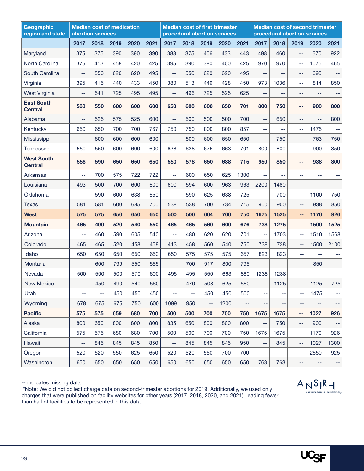| Geographic<br>region and state      |                          | abortion services | <b>Median cost of medication</b> |      |      |                          | <b>Median cost of first trimester</b><br>procedural abortion services |      |      |          | <b>Median cost of second trimester</b><br>procedural abortion services |      |       |                |                                               |
|-------------------------------------|--------------------------|-------------------|----------------------------------|------|------|--------------------------|-----------------------------------------------------------------------|------|------|----------|------------------------------------------------------------------------|------|-------|----------------|-----------------------------------------------|
|                                     | 2017                     | 2018              | 2019                             | 2020 | 2021 | 2017                     | 2018                                                                  | 2019 | 2020 | 2021     | 2017                                                                   | 2018 | 2019  | 2020           | 2021                                          |
| Maryland                            | 375                      | 375               | 390                              | 390  | 390  | 388                      | 375                                                                   | 406  | 433  | 443      | 498                                                                    | 460  | $- -$ | 670            | 922                                           |
| North Carolina                      | 375                      | 413               | 458                              | 420  | 425  | 395                      | 390                                                                   | 380  | 400  | 425      | 970                                                                    | 970  | $-$   | 1075           | 465                                           |
| South Carolina                      | $\qquad \qquad -$        | 550               | 620                              | 620  | 495  | --                       | 550                                                                   | 620  | 620  | 495      | $-$                                                                    | --   | $-$   | 695            | $- \, -$                                      |
| Virginia                            | 395                      | 415               | 440                              | 433  | 450  | 380                      | 513                                                                   | 449  | 428  | 450      | 973                                                                    | 1036 | $-$   | 814            | 850                                           |
| <b>West Virginia</b>                | --                       | 541               | 725                              | 495  | 495  | $-$                      | 496                                                                   | 725  | 525  | 625      | --                                                                     | --   | --    | --             | --                                            |
| <b>East South</b><br><b>Central</b> | 588                      | 550               | 600                              | 600  | 600  | 650                      | 600                                                                   | 600  | 650  | 701      | 800                                                                    | 750  | ۰.    | 900            | 800                                           |
| Alabama                             | --                       | 525               | 575                              | 525  | 600  | $-$                      | 500                                                                   | 500  | 500  | 700      | $-$                                                                    | 650  | $-$   | $-$            | 800                                           |
| Kentucky                            | 650                      | 650               | 700                              | 700  | 767  | 750                      | 750                                                                   | 800  | 800  | 857      | $-$                                                                    | $-$  | $-$   | 1475           | $\mathord{\hspace{1pt}\text{--}\hspace{1pt}}$ |
| <b>Mississippi</b>                  | --                       | 600               | 600                              | 600  | 600  | $-$                      | 600                                                                   | 600  | 650  | 650      | --                                                                     | 750  | --    | 763            | 750                                           |
| Tennessee                           | 550                      | 550               | 600                              | 600  | 600  | 638                      | 638                                                                   | 675  | 663  | 701      | 800                                                                    | 800  | $-$   | 900            | 850                                           |
| <b>West South</b><br><b>Central</b> | 556                      | 590               | 650                              | 650  | 650  | 550                      | 578                                                                   | 650  | 688  | 715      | 950                                                                    | 850  | --    | 938            | 800                                           |
| Arkansas                            | --                       | 700               | 575                              | 722  | 722  | $-$                      | 600                                                                   | 650  | 625  | 1300     | $-$                                                                    | --   | --    | --             | $\overline{\phantom{m}}$                      |
| Louisiana                           | 493                      | 500               | 700                              | 600  | 600  | 600                      | 594                                                                   | 600  | 963  | 963      | 2200                                                                   | 1480 | $-$   | --             | $-$                                           |
| Oklahoma                            | --                       | 590               | 600                              | 638  | 650  | $-$                      | 590                                                                   | 625  | 638  | 725      | $-$                                                                    | 700  | $-$   | 1100           | 750                                           |
| <b>Texas</b>                        | 581                      | 581               | 600                              | 685  | 700  | 538                      | 538                                                                   | 700  | 734  | 715      | 900                                                                    | 900  | $-$   | 938            | 850                                           |
| West                                | 575                      | 575               | 650                              | 650  | 650  | 500                      | 500                                                                   | 664  | 700  | 750      | 1675                                                                   | 1525 | --    | 1170           | 926                                           |
| <b>Mountain</b>                     | 465                      | 490               | 520                              | 540  | 550  | 465                      | 465                                                                   | 560  | 600  | 676      | 738                                                                    | 1275 | --    | 1500           | 1525                                          |
| Arizona                             | $-$                      | 460               | 590                              | 605  | 540  | $-$                      | 480                                                                   | 620  | 620  | 701      | $-$                                                                    | 1703 | $-$   | 1510           | 1568                                          |
| Colorado                            | 465                      | 465               | 520                              | 458  | 458  | 413                      | 458                                                                   | 560  | 540  | 750      | 738                                                                    | 738  | $-$   | 1500           | 2100                                          |
| Idaho                               | 650                      | 650               | 650                              | 650  | 650  | 650                      | 575                                                                   | 575  | 575  | 657      | 823                                                                    | 823  | $-$   | $\overline{a}$ | $-$                                           |
| Montana                             | $-$                      | 600               | 799                              | 550  | 555  | $-$                      | 700                                                                   | 917  | 800  | 795      | --                                                                     | $-$  | --    | 850            | --                                            |
| Nevada                              | 500                      | 500               | 500                              | 570  | 600  | 495                      | 495                                                                   | 550  | 663  | 860      | 1238                                                                   | 1238 | --    | --             | $\overline{\phantom{m}}$                      |
| <b>New Mexico</b>                   | $-$                      | 450               | 490                              | 540  | 560  | --                       | 470                                                                   | 508  | 625  | 560      | --                                                                     | 1125 | --    | 1125           | 725                                           |
| Utah                                | $\overline{\phantom{m}}$ | $-$               | 450                              | 450  | 450  | --                       | --                                                                    | 450  | 450  | 500      | $-$                                                                    | --   | $-$   | 1475           | $- \, -$                                      |
| Wyoming                             | 678                      | 675               | 675                              | 750  | 600  | 1099                     | 950                                                                   | 44   | 1200 | $- \, -$ | $-$                                                                    | --   | --    | --             | --                                            |
| <b>Pacific</b>                      | 575                      | 575               | 659                              | 680  | 700  | 500                      | 500                                                                   | 700  | 700  | 750      | 1675                                                                   | 1675 | --    | 1027           | 926                                           |
| Alaska                              | 800                      | 650               | 800                              | 800  | 800  | 835                      | 650                                                                   | 800  | 800  | 800      | $\overline{a}$                                                         | 750  | $-$   | 900            | $- -$                                         |
| California                          | 575                      | 575               | 680                              | 680  | 700  | 500                      | 500                                                                   | 700  | 700  | 750      | 1675                                                                   | 1675 | $-$   | 1170           | 926                                           |
| Hawaii                              | --                       | 845               | 845                              | 845  | 850  | $\overline{\phantom{a}}$ | 845                                                                   | 845  | 845  | 950      | $-$                                                                    | 845  | $- -$ | 1027           | 1300                                          |
| Oregon                              | 520                      | 520               | 550                              | 625  | 650  | 520                      | 520                                                                   | 550  | 700  | 700      | --                                                                     | --   | $-$   | 2650           | 925                                           |
| Washington                          | 650                      | 650               | 650                              | 650  | 650  | 650                      | 650                                                                   | 650  | 650  | 650      | 763                                                                    | 763  | --    | --             | $\mathrel{{\mathop{\hbox{--}}}\,}$            |

-- indicates missing data.

 \*Note: We did not collect charge data on second-trimester abortions for 2019. Additionally, we used only charges that were published on facility websites for other years (2017, 2018, 2020, and 2021), leading fewer than half of facilities to be represented in this data.



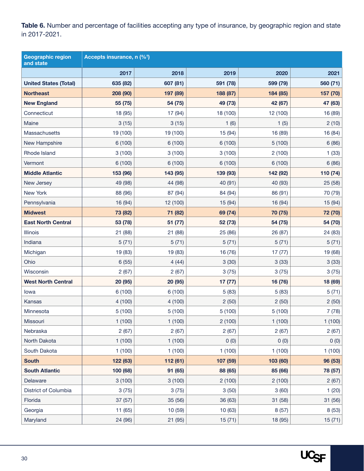<span id="page-29-0"></span>Table 6. Number and percentage of facilities accepting any type of insurance, by geographic region and state in 2017-2021.

| <b>Geographic region</b><br>and state | Accepts insurance, n (% <sup>t</sup> ) |          |          |          |          |
|---------------------------------------|----------------------------------------|----------|----------|----------|----------|
|                                       | 2017                                   | 2018     | 2019     | 2020     | 2021     |
| <b>United States (Total)</b>          | 635 (82)                               | 607 (81) | 591 (78) | 599 (79) | 560 (71) |
| <b>Northeast</b>                      | 208 (90)                               | 197 (89) | 188 (87) | 184 (85) | 157 (70) |
| <b>New England</b>                    | 55 (75)                                | 54 (75)  | 49 (73)  | 42 (67)  | 47 (63)  |
| Connecticut                           | 18 (95)                                | 17 (94)  | 18 (100) | 12 (100) | 16 (89)  |
| Maine                                 | 3(15)                                  | 3(15)    | 1(6)     | 1(5)     | 2(10)    |
| Massachusetts                         | 19 (100)                               | 19 (100) | 15 (94)  | 16 (89)  | 16 (84)  |
| New Hampshire                         | 6 (100)                                | 6 (100)  | 6 (100)  | 5(100)   | 6(86)    |
| Rhode Island                          | 3(100)                                 | 3(100)   | 3(100)   | 2(100)   | 1(33)    |
| Vermont                               | 6 (100)                                | 6 (100)  | 6 (100)  | 6 (100)  | 6(86)    |
| <b>Middle Atlantic</b>                | 153 (96)                               | 143 (95) | 139 (93) | 142 (92) | 110 (74) |
| New Jersey                            | 49 (98)                                | 44 (98)  | 40 (91)  | 40 (93)  | 25 (58)  |
| New York                              | 88 (96)                                | 87 (94)  | 84 (94)  | 86 (91)  | 70 (79)  |
| Pennsylvania                          | 16 (94)                                | 12 (100) | 15 (94)  | 16 (94)  | 15 (94)  |
| <b>Midwest</b>                        | 73 (82)                                | 71 (82)  | 69 (74)  | 70 (75)  | 72 (70)  |
| <b>East North Central</b>             | 53 (78)                                | 51 (77)  | 52 (73)  | 54 (75)  | 54 (70)  |
| Illinois                              | 21 (88)                                | 21 (88)  | 25 (86)  | 26 (87)  | 24 (83)  |
| Indiana                               | 5(71)                                  | 5(71)    | 5(71)    | 5(71)    | 5(71)    |
| Michigan                              | 19 (83)                                | 19 (83)  | 16 (76)  | 17(77)   | 19 (68)  |
| Ohio                                  | 6(55)                                  | 4(44)    | 3(30)    | 3(33)    | 3(33)    |
| Wisconsin                             | 2(67)                                  | 2(67)    | 3(75)    | 3(75)    | 3(75)    |
| <b>West North Central</b>             | 20 (95)                                | 20 (95)  | 17(77)   | 16 (76)  | 18 (69)  |
| lowa                                  | 6 (100)                                | 6 (100)  | 5(83)    | 5(83)    | 5(71)    |
| Kansas                                | 4(100)                                 | 4(100)   | 2(50)    | 2(50)    | 2(50)    |
| Minnesota                             | 5(100)                                 | 5(100)   | 5(100)   | 5(100)   | 7(78)    |
| Missouri                              | 1(100)                                 | 1(100)   | 2(100)   | 1(100)   | 1(100)   |
| Nebraska                              | 2(67)                                  | 2(67)    | 2(67)    | 2(67)    | 2(67)    |
| North Dakota                          | 1(100)                                 | 1(100)   | 0(0)     | 0(0)     | 0(0)     |
| South Dakota                          | 1(100)                                 | 1(100)   | 1(100)   | 1(100)   | 1(100)   |
| <b>South</b>                          | 122 (63)                               | 112 (61) | 107 (59) | 103 (60) | 96 (53)  |
| <b>South Atlantic</b>                 | 100 (68)                               | 91 (65)  | 88 (65)  | 85 (66)  | 78 (57)  |
| Delaware                              | 3(100)                                 | 3(100)   | 2(100)   | 2(100)   | 2(67)    |
| District of Columbia                  | 3(75)                                  | 3(75)    | 3(50)    | 3(60)    | 1(20)    |
| Florida                               | 37 (57)                                | 35 (56)  | 36 (63)  | 31 (58)  | 31 (56)  |
| Georgia                               | 11 (65)                                | 10 (59)  | 10(63)   | 8(57)    | 8(53)    |
| Maryland                              | 24 (96)                                | 21 (95)  | 15(71)   | 18 (95)  | 15(71)   |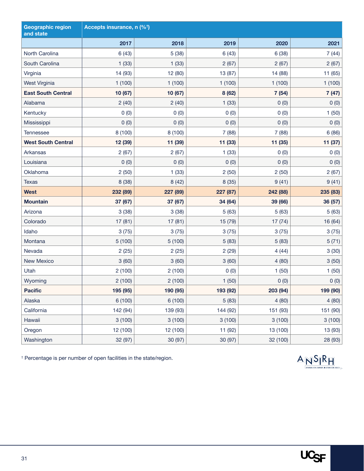| <b>Geographic region</b><br>and state | Accepts insurance, n (% <sup>t</sup> ) |          |          |          |          |
|---------------------------------------|----------------------------------------|----------|----------|----------|----------|
|                                       | 2017                                   | 2018     | 2019     | 2020     | 2021     |
| North Carolina                        | 6(43)                                  | 5(38)    | 6(43)    | 6(38)    | 7(44)    |
| South Carolina                        | 1(33)                                  | 1(33)    | 2(67)    | 2(67)    | 2(67)    |
| Virginia                              | 14 (93)                                | 12 (80)  | 13 (87)  | 14 (88)  | 11 (65)  |
| West Virginia                         | 1(100)                                 | 1(100)   | 1(100)   | 1(100)   | 1(100)   |
| <b>East South Central</b>             | 10 (67)                                | 10 (67)  | 8(62)    | 7(54)    | 7(47)    |
| Alabama                               | 2(40)                                  | 2(40)    | 1(33)    | 0(0)     | 0(0)     |
| Kentucky                              | 0(0)                                   | 0(0)     | 0(0)     | 0(0)     | 1(50)    |
| Mississippi                           | 0(0)                                   | 0(0)     | 0(0)     | 0(0)     | 0(0)     |
| <b>Tennessee</b>                      | 8 (100)                                | 8 (100)  | 7(88)    | 7(88)    | 6(86)    |
| <b>West South Central</b>             | 12 (39)                                | 11 (39)  | 11 (33)  | 11 (35)  | 11 (37)  |
| Arkansas                              | 2(67)                                  | 2(67)    | 1(33)    | 0(0)     | 0(0)     |
| Louisiana                             | 0(0)                                   | 0(0)     | 0(0)     | 0(0)     | 0(0)     |
| Oklahoma                              | 2(50)                                  | 1(33)    | 2(50)    | 2(50)    | 2(67)    |
| <b>Texas</b>                          | 8 (38)                                 | 8(42)    | 8 (35)   | 9(41)    | 9(41)    |
| <b>West</b>                           | 232 (89)                               | 227 (89) | 227 (87) | 242 (88) | 235 (83) |
| <b>Mountain</b>                       | 37 (67)                                | 37 (67)  | 34 (64)  | 39 (66)  | 36 (57)  |
| Arizona                               | 3(38)                                  | 3(38)    | 5(63)    | 5(63)    | 5(63)    |
| Colorado                              | 17(81)                                 | 17(81)   | 15 (79)  | 17(74)   | 16 (64)  |
| Idaho                                 | 3(75)                                  | 3(75)    | 3(75)    | 3(75)    | 3(75)    |
| Montana                               | 5(100)                                 | 5(100)   | 5(83)    | 5(83)    | 5(71)    |
| Nevada                                | 2(25)                                  | 2(25)    | 2(29)    | 4(44)    | 3(30)    |
| <b>New Mexico</b>                     | 3(60)                                  | 3(60)    | 3(60)    | 4(80)    | 3(50)    |
| Utah                                  | 2(100)                                 | 2(100)   | 0(0)     | 1(50)    | 1(50)    |
| Wyoming                               | 2(100)                                 | 2(100)   | 1(50)    | 0(0)     | 0(0)     |
| <b>Pacific</b>                        | 195 (95)                               | 190 (95) | 193 (92) | 203 (94) | 199 (90) |
| Alaska                                | 6 (100)                                | 6(100)   | 5(83)    | 4(80)    | 4(80)    |
| California                            | 142 (94)                               | 139 (93) | 144 (92) | 151 (93) | 151 (90) |
| Hawaii                                | 3(100)                                 | 3(100)   | 3(100)   | 3(100)   | 3(100)   |
| Oregon                                | 12 (100)                               | 12 (100) | 11 (92)  | 13 (100) | 13 (93)  |
| Washington                            | 32 (97)                                | 30 (97)  | 30 (97)  | 32 (100) | 28 (93)  |

† Percentage is per number of open facilities in the state/region.



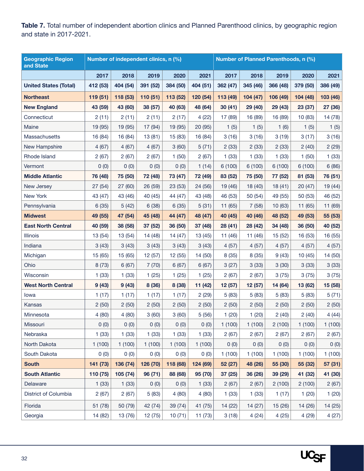<span id="page-31-0"></span>Table 7. Total number of independent abortion clinics and Planned Parenthood clinics, by geographic region and state in 2017-2021.

| <b>Geographic Region</b><br>and State | Number of independent clinics, n (%) |          |          |          | Number of Planned Parenthoods, n (%) |          |          |          |          |          |
|---------------------------------------|--------------------------------------|----------|----------|----------|--------------------------------------|----------|----------|----------|----------|----------|
|                                       | 2017                                 | 2018     | 2019     | 2020     | 2021                                 | 2017     | 2018     | 2019     | 2020     | 2021     |
| <b>United States (Total)</b>          | 412 (53)                             | 404 (54) | 391 (52) | 384 (50) | 404 (51)                             | 362 (47) | 345 (46) | 366 (48) | 379 (50) | 386 (49) |
| <b>Northeast</b>                      | 119 (51)                             | 118 (53) | 110 (51) | 113 (52) | 120 (54)                             | 113 (49) | 104 (47) | 106 (49) | 104 (48) | 103 (46) |
| <b>New England</b>                    | 43 (59)                              | 43 (60)  | 38 (57)  | 40 (63)  | 48 (64)                              | 30(41)   | 29 (40)  | 29 (43)  | 23 (37)  | 27 (36)  |
| Connecticut                           | 2(11)                                | 2(11)    | 2(11)    | 2(17)    | 4(22)                                | 17 (89)  | 16 (89)  | 16 (89)  | 10 (83)  | 14 (78)  |
| Maine                                 | 19 (95)                              | 19 (95)  | 17 (94)  | 19 (95)  | 20 (95)                              | 1(5)     | 1(5)     | 1(6)     | 1(5)     | 1(5)     |
| Massachusetts                         | 16 (84)                              | 16 (84)  | 13(81)   | 15 (83)  | 16 (84)                              | 3(16)    | 3(16)    | 3(19)    | 3(17)    | 3(16)    |
| New Hampshire                         | 4(67)                                | 4(67)    | 4(67)    | 3(60)    | 5(71)                                | 2(33)    | 2(33)    | 2(33)    | 2(40)    | 2(29)    |
| Rhode Island                          | 2(67)                                | 2(67)    | 2(67)    | 1(50)    | 2(67)                                | 1(33)    | 1(33)    | 1(33)    | 1(50)    | 1(33)    |
| Vermont                               | 0(0)                                 | 0(0)     | 0(0)     | 0(0)     | 1(14)                                | 6(100)   | 6(100)   | 6(100)   | 6(100)   | 6(86)    |
| <b>Middle Atlantic</b>                | 76 (48)                              | 75 (50)  | 72 (48)  | 73 (47)  | 72 (49)                              | 83 (52)  | 75 (50)  | 77 (52)  | 81 (53)  | 76 (51)  |
| New Jersey                            | 27 (54)                              | 27 (60)  | 26 (59)  | 23 (53)  | 24 (56)                              | 19 (46)  | 18 (40)  | 18(41)   | 20(47)   | 19 (44)  |
| New York                              | 43 (47)                              | 43 (46)  | 40 (45)  | 44 (47)  | 43 (48)                              | 46 (53)  | 50 (54)  | 49 (55)  | 50 (53)  | 46 (52)  |
| Pennsylvania                          | 6(35)                                | 5(42)    | 6(38)    | 6(35)    | 5(31)                                | 11(65)   | 7(58)    | 10(63)   | 11(65)   | 11 (69)  |
| <b>Midwest</b>                        | 49 (55)                              | 47 (54)  | 45 (48)  | 44 (47)  | 48 (47)                              | 40 (45)  | 40 (46)  | 48 (52)  | 49 (53)  | 55 (53)  |
| <b>East North Central</b>             | 40 (59)                              | 38 (58)  | 37 (52)  | 36 (50)  | 37 (48)                              | 28 (41)  | 28 (42)  | 34 (48)  | 36 (50)  | 40 (52)  |
| <b>Illinois</b>                       | 13 (54)                              | 13 (54)  | 14 (48)  | 14(47)   | 13 (45)                              | 11 (46)  | 11 (46)  | 15 (52)  | 16 (53)  | 16 (55)  |
| Indiana                               | 3(43)                                | 3(43)    | 3(43)    | 3(43)    | 3(43)                                | 4(57)    | 4(57)    | 4(57)    | 4(57)    | 4(57)    |
| Michigan                              | 15 (65)                              | 15 (65)  | 12 (57)  | 12 (55)  | 14 (50)                              | 8 (35)   | 8(35)    | 9(43)    | 10(45)   | 14 (50)  |
| Ohio                                  | 8(73)                                | 6(67)    | 7(70)    | 6(67)    | 6(67)                                | 3(27)    | 3(33)    | 3(30)    | 3(33)    | 3(33)    |
| Wisconsin                             | 1(33)                                | 1(33)    | 1(25)    | 1(25)    | 1(25)                                | 2(67)    | 2(67)    | 3(75)    | 3 (75)   | 3(75)    |
| <b>West North Central</b>             | 9(43)                                | 9(43)    | 8 (36)   | 8 (38)   | 11 (42)                              | 12 (57)  | 12 (57)  | 14 (64)  | 13 (62)  | 15 (58)  |
| lowa                                  | 1(17)                                | 1(17)    | 1(17)    | 1(17)    | 2(29)                                | 5(83)    | 5(83)    | 5(83)    | 5(83)    | 5(71)    |
| Kansas                                | 2(50)                                | 2(50)    | 2(50)    | 2(50)    | 2(50)                                | 2(50)    | 2(50)    | 2(50)    | 2(50)    | 2(50)    |
| Minnesota                             | 4(80)                                | 4(80)    | 3(60)    | 3(60)    | 5(56)                                | 1(20)    | 1(20)    | 2(40)    | 2(40)    | 4(44)    |
| Missouri                              | 0(0)                                 | 0(0)     | 0(0)     | 0(0)     | 0(0)                                 | 1(100)   | 1(100)   | 2(100)   | 1(100)   | 1(100)   |
| Nebraska                              | 1(33)                                | 1(33)    | 1(33)    | 1(33)    | 1(33)                                | 2(67)    | 2(67)    | 2(67)    | 2(67)    | 2(67)    |
| North Dakota                          | 1(100)                               | 1(100)   | 1(100)   | 1(100)   | 1(100)                               | 0(0)     | 0(0)     | 0(0)     | 0(0)     | 0(0)     |
| South Dakota                          | 0(0)                                 | 0(0)     | 0(0)     | 0(0)     | 0(0)                                 | 1(100)   | 1(100)   | 1(100)   | 1(100)   | 1(100)   |
| <b>South</b>                          | 141 (73)                             | 136 (74) | 126 (70) | 118 (68) | 124 (69)                             | 52 (27)  | 48 (26)  | 55 (30)  | 55 (32)  | 57 (31)  |
| <b>South Atlantic</b>                 | 110 (75)                             | 105 (74) | 96(71)   | 88 (68)  | 95 (70)                              | 37 (25)  | 36 (26)  | 39 (29)  | 41 (32)  | 41 (30)  |
| Delaware                              | 1(33)                                | 1(33)    | 0(0)     | 0(0)     | 1(33)                                | 2(67)    | 2(67)    | 2(100)   | 2(100)   | 2(67)    |
| District of Columbia                  | 2(67)                                | 2(67)    | 5(83)    | 4(80)    | 4(80)                                | 1(33)    | 1(33)    | 1(17)    | 1(20)    | 1(20)    |
| Florida                               | 51(78)                               | 50 (79)  | 42 (74)  | 39 (74)  | 41 (75)                              | 14 (22)  | 14(27)   | 15(26)   | 14(26)   | 14(25)   |
| Georgia                               | 14 (82)                              | 13 (76)  | 12(75)   | 10(71)   | 11(73)                               | 3(18)    | 4(24)    | 4(25)    | 4(29)    | 4(27)    |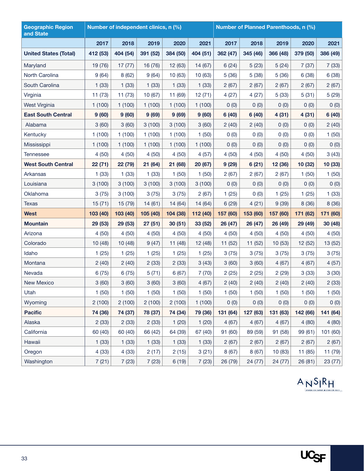| <b>Geographic Region</b><br>and State | Number of independent clinics, n (%) |          |          |          | Number of Planned Parenthoods, n (%) |          |          |          |          |          |
|---------------------------------------|--------------------------------------|----------|----------|----------|--------------------------------------|----------|----------|----------|----------|----------|
|                                       | 2017                                 | 2018     | 2019     | 2020     | 2021                                 | 2017     | 2018     | 2019     | 2020     | 2021     |
| <b>United States (Total)</b>          | 412 (53)                             | 404 (54) | 391 (52) | 384 (50) | 404 (51)                             | 362 (47) | 345 (46) | 366 (48) | 379 (50) | 386 (49) |
| Maryland                              | 19 (76)                              | 17(77)   | 16 (76)  | 12 (63)  | 14 (67)                              | 6(24)    | 5(23)    | 5(24)    | 7(37)    | 7(33)    |
| North Carolina                        | 9(64)                                | 8(62)    | 9(64)    | 10(63)   | 10 (63)                              | 5(36)    | 5(38)    | 5(36)    | 6(38)    | 6(38)    |
| South Carolina                        | 1(33)                                | 1(33)    | 1(33)    | 1(33)    | 1(33)                                | 2(67)    | 2(67)    | 2(67)    | 2(67)    | 2(67)    |
| Virginia                              | 11(73)                               | 11(73)   | 10(67)   | 11 (69)  | 12(71)                               | 4(27)    | 4(27)    | 5(33)    | 5(31)    | 5(29)    |
| West Virginia                         | 1(100)                               | 1(100)   | 1(100)   | 1(100)   | 1(100)                               | 0(0)     | 0(0)     | 0(0)     | 0(0)     | 0(0)     |
| <b>East South Central</b>             | 9(60)                                | 9(60)    | 9(69)    | 9(69)    | 9(60)                                | 6(40)    | 6(40)    | 4(31)    | 4(31)    | 6(40)    |
| Alabama                               | 3(60)                                | 3(60)    | 3(100)   | 3(100)   | 3(60)                                | 2(40)    | 2(40)    | 0(0)     | 0(0)     | 2(40)    |
| Kentucky                              | 1(100)                               | 1(100)   | 1(100)   | 1(100)   | 1(50)                                | 0(0)     | 0(0)     | 0(0)     | 0(0)     | 1(50)    |
| Mississippi                           | 1(100)                               | 1(100)   | 1(100)   | 1(100)   | 1(100)                               | 0(0)     | 0(0)     | 0(0)     | 0(0)     | 0(0)     |
| <b>Tennessee</b>                      | 4(50)                                | 4(50)    | 4(50)    | 4(50)    | 4(57)                                | 4(50)    | 4(50)    | 4(50)    | 4(50)    | 3(43)    |
| <b>West South Central</b>             | 22 (71)                              | 22 (79)  | 21 (64)  | 21 (68)  | 20 (67)                              | 9(29)    | 6(21)    | 12 (36)  | 10 (32)  | 10 (33)  |
| Arkansas                              | 1(33)                                | 1(33)    | 1(33)    | 1(50)    | 1(50)                                | 2(67)    | 2(67)    | 2(67)    | 1(50)    | 1(50)    |
| Louisiana                             | 3(100)                               | 3(100)   | 3(100)   | 3(100)   | 3(100)                               | 0(0)     | 0(0)     | 0(0)     | 0(0)     | 0(0)     |
| Oklahoma                              | 3(75)                                | 3(100)   | 3(75)    | 3(75)    | 2(67)                                | 1(25)    | 0(0)     | 1(25)    | 1(25)    | 1(33)    |
| <b>Texas</b>                          | 15(71)                               | 15 (79)  | 14(61)   | 14 (64)  | 14 (64)                              | 6(29)    | 4(21)    | 9(39)    | 8 (36)   | 8(36)    |
| <b>West</b>                           | 103 (40)                             | 103 (40) | 105 (40) | 104 (38) | 112 (40)                             | 157 (60) | 153 (60) | 157 (60) | 171 (62) | 171 (60) |
| <b>Mountain</b>                       | 29 (53)                              | 29 (53)  | 27(51)   | 30(51)   | 33 (52)                              | 26 (47)  | 26 (47)  | 26 (49)  | 29 (49)  | 30 (48)  |
| Arizona                               | 4(50)                                | 4(50)    | 4(50)    | 4(50)    | 4(50)                                | 4(50)    | 4(50)    | 4(50)    | 4(50)    | 4(50)    |
| Colorado                              | 10(48)                               | 10(48)   | 9(47)    | 11(48)   | 12 (48)                              | 11(52)   | 11(52)   | 10(53)   | 12 (52)  | 13 (52)  |
| Idaho                                 | 1(25)                                | 1(25)    | 1(25)    | 1(25)    | 1(25)                                | 3(75)    | 3(75)    | 3(75)    | 3(75)    | 3(75)    |
| Montana                               | 2(40)                                | 2(40)    | 2(33)    | 2(33)    | 3(43)                                | 3(60)    | 3(60)    | 4(67)    | 4(67)    | 4(57)    |
| Nevada                                | 6(75)                                | 6(75)    | 5(71)    | 6(67)    | 7(70)                                | 2(25)    | 2(25)    | 2(29)    | 3(33)    | 3(30)    |
| <b>New Mexico</b>                     | 3(60)                                | 3(60)    | 3(60)    | 3(60)    | 4(67)                                | 2(40)    | 2(40)    | 2(40)    | 2(40)    | 2(33)    |
| Utah                                  | 1(50)                                | 1(50)    | 1(50)    | 1(50)    | 1(50)                                | 1(50)    | 1(50)    | 1(50)    | 1(50)    | 1(50)    |
| Wyoming                               | 2(100)                               | 2(100)   | 2(100)   | 2(100)   | 1(100)                               | 0(0)     | 0(0)     | 0(0)     | 0(0)     | 0(0)     |
| <b>Pacific</b>                        | 74 (36)                              | 74 (37)  | 78 (37)  | 74 (34)  | 79 (36)                              | 131 (64) | 127 (63) | 131 (63) | 142 (66) | 141 (64) |
| Alaska                                | 2(33)                                | 2(33)    | 2(33)    | 1(20)    | 1(20)                                | 4(67)    | 4(67)    | 4(67)    | 4(80)    | 4(80)    |
| California                            | 60 (40)                              | 60 (40)  | 66 (42)  | 64 (39)  | 67 (40)                              | 91 (60)  | 89 (59)  | 91 (58)  | 99(61)   | 101 (60) |
| Hawaii                                | 1(33)                                | 1(33)    | 1(33)    | 1(33)    | 1(33)                                | 2(67)    | 2(67)    | 2(67)    | 2(67)    | 2(67)    |
| Oregon                                | 4(33)                                | 4(33)    | 2(17)    | 2(15)    | 3(21)                                | 8(67)    | 8(67)    | 10 (83)  | 11 (85)  | 11 (79)  |
| Washington                            | 7(21)                                | 7(23)    | 7(23)    | 6(19)    | 7(23)                                | 26 (79)  | 24 (77)  | 24 (77)  | 26 (81)  | 23 (77)  |

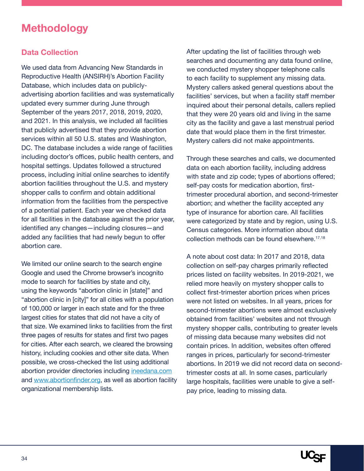### <span id="page-33-0"></span>**Methodology**

#### **Data Collection**

We used data from Advancing New Standards in Reproductive Health (ANSIRH)'s Abortion Facility Database, which includes data on publiclyadvertising abortion facilities and was systematically updated every summer during June through September of the years 2017, 2018, 2019, 2020, and 2021. In this analysis, we included all facilities that publicly advertised that they provide abortion services within all 50 U.S. states and Washington, DC. The database includes a wide range of facilities including doctor's offices, public health centers, and hospital settings. Updates followed a structured process, including initial online searches to identify abortion facilities throughout the U.S. and mystery shopper calls to confirm and obtain additional information from the facilities from the perspective of a potential patient. Each year we checked data for all facilities in the database against the prior year, identified any changes—including closures—and added any facilities that had newly begun to offer abortion care.

We limited our online search to the search engine Google and used the Chrome browser's incognito mode to search for facilities by state and city, using the keywords "abortion clinic in [state]" and "abortion clinic in [city]" for all cities with a population of 100,000 or larger in each state and for the three largest cities for states that did not have a city of that size. We examined links to facilities from the first three pages of results for states and first two pages for cities. After each search, we cleared the browsing history, including cookies and other site data. When possible, we cross-checked the list using additional abortion provider directories including ineedana.com and www.abortionfinder.org, as well as abortion facility organizational membership lists.

After updating the list of facilities through web searches and documenting any data found online, we conducted mystery shopper telephone calls to each facility to supplement any missing data. Mystery callers asked general questions about the facilities' services, but when a facility staff member inquired about their personal details, callers replied that they were 20 years old and living in the same city as the facility and gave a last menstrual period date that would place them in the first trimester. Mystery callers did not make appointments.

Through these searches and calls, we documented data on each abortion facility, including address with state and zip code; types of abortions offered; self-pay costs for medication abortion, firsttrimester procedural abortion, and second-trimester abortion; and whether the facility accepted any type of insurance for abortion care. All facilities were categorized by state and by region, using U.S. Census categories. More information about data collection methods can be found elsewhere.<sup>17,18</sup>

A note about cost data: In 2017 and 2018, data collection on self-pay charges primarily reflected prices listed on facility websites. In 2019-2021, we relied more heavily on mystery shopper calls to collect first-trimester abortion prices when prices were not listed on websites. In all years, prices for second-trimester abortions were almost exclusively obtained from facilities' websites and not through mystery shopper calls, contributing to greater levels of missing data because many websites did not contain prices. In addition, websites often offered ranges in prices, particularly for second-trimester abortions. In 2019 we did not record data on secondtrimester costs at all. In some cases, particularly large hospitals, facilities were unable to give a selfpay price, leading to missing data.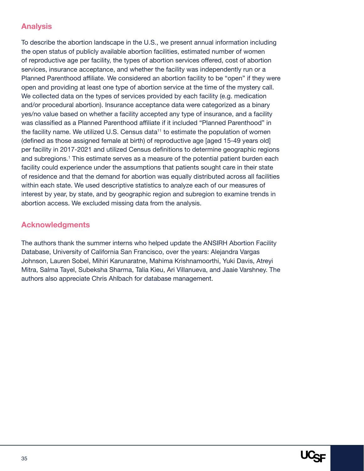#### **Analysis**

To describe the abortion landscape in the U.S., we present annual information including the open status of publicly available abortion facilities, estimated number of women of reproductive age per facility, the types of abortion services offered, cost of abortion services, insurance acceptance, and whether the facility was independently run or a Planned Parenthood affiliate. We considered an abortion facility to be "open" if they were open and providing at least one type of abortion service at the time of the mystery call. We collected data on the types of services provided by each facility (e.g. medication and/or procedural abortion). Insurance acceptance data were categorized as a binary yes/no value based on whether a facility accepted any type of insurance, and a facility was classified as a Planned Parenthood affiliate if it included "Planned Parenthood" in the facility name. We utilized U.S. Census data<sup> $11$ </sup> to estimate the population of women (defined as those assigned female at birth) of reproductive age [aged 15-49 years old] per facility in 2017-2021 and utilized Census definitions to determine geographic regions and subregions.<sup>1</sup> This estimate serves as a measure of the potential patient burden each facility could experience under the assumptions that patients sought care in their state of residence and that the demand for abortion was equally distributed across all facilities within each state. We used descriptive statistics to analyze each of our measures of interest by year, by state, and by geographic region and subregion to examine trends in abortion access. We excluded missing data from the analysis.

#### **Acknowledgments**

The authors thank the summer interns who helped update the ANSIRH Abortion Facility Database, University of California San Francisco, over the years: Alejandra Vargas Johnson, Lauren Sobel, Mihiri Karunaratne, Mahima Krishnamoorthi, Yuki Davis, Atreyi Mitra, Salma Tayel, Subeksha Sharma, Talia Kieu, Ari Villanueva, and Jaaie Varshney. The authors also appreciate Chris Ahlbach for database management.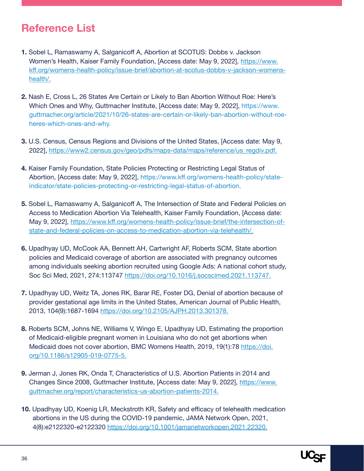### <span id="page-35-0"></span>**Reference List**

- **1.** Sobel L, Ramaswamy A, Salganicoff A, Abortion at SCOTUS: Dobbs v. Jackson Women's Health, Kaiser Family Foundation, [Access date: May 9, 2022], https://www. kff.org/womens-health-policy/issue-brief/abortion-at-scotus-dobbs-v-jackson-womenshealth/.
- **2.** Nash E, Cross L, 26 States Are Certain or Likely to Ban Abortion Without Roe: Here's Which Ones and Why, Guttmacher Institute, [Access date: May 9, 2022], https://www. guttmacher.org/article/2021/10/26-states-are-certain-or-likely-ban-abortion-without-roeheres-which-ones-and-why.
- **3.** U.S. Census, Census Regions and Divisions of the United States, [Access date: May 9, 2022], https://www2.census.gov/geo/pdfs/maps-data/maps/reference/us\_regdiv.pdf.
- **4.** Kaiser Family Foundation, State Policies Protecting or Restricting Legal Status of Abortion, [Access date: May 9, 2022], https://www.kff.org/womens-health-policy/stateindicator/state-policies-protecting-or-restricting-legal-status-of-abortion.
- **5.** Sobel L, Ramaswamy A, Salganicoff A, The Intersection of State and Federal Policies on Access to Medication Abortion Via Telehealth, Kaiser Family Foundation, [Access date: May 9, 2022], https://www.kff.org/womens-health-policy/issue-brief/the-intersection-ofstate-and-federal-policies-on-access-to-medication-abortion-via-telehealth/.
- **6.** Upadhyay UD, McCook AA, Bennett AH, Cartwright AF, Roberts SCM, State abortion policies and Medicaid coverage of abortion are associated with pregnancy outcomes among individuals seeking abortion recruited using Google Ads: A national cohort study, Soc Sci Med, 2021, 274:113747 https://doi.org/10.1016/j.socscimed.2021.113747.
- **7.** Upadhyay UD, Weitz TA, Jones RK, Barar RE, Foster DG, Denial of abortion because of provider gestational age limits in the United States, American Journal of Public Health, 2013, 104(9):1687-1694 https://doi.org/10.2105/AJPH.2013.301378.
- **8.** Roberts SCM, Johns NE, Williams V, Wingo E, Upadhyay UD, Estimating the proportion of Medicaid-eligible pregnant women in Louisiana who do not get abortions when Medicaid does not cover abortion, BMC Womens Health, 2019, 19(1):78 https://doi. org/10.1186/s12905-019-0775-5.
- **9.** Jerman J, Jones RK, Onda T, Characteristics of U.S. Abortion Patients in 2014 and Changes Since 2008, Guttmacher Institute, [Access date: May 9, 2022], https://www. guttmacher.org/report/characteristics-us-abortion-patients-2014.
- **10.** Upadhyay UD, Koenig LR, Meckstroth KR, Safety and efficacy of telehealth medication abortions in the US during the COVID-19 pandemic, JAMA Network Open, 2021, 4(8):e2122320-e2122320 https://doi.org/10.1001/jamanetworkopen.2021.22320.